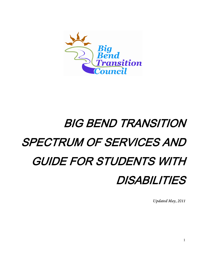

# BIG BEND TRANSITION SPECTRUM OF SERVICES AND GUIDE FOR STUDENTS WITH DISABILITIES

*Updated May, 2011*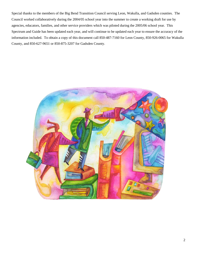Special thanks to the members of the Big Bend Transition Council serving Leon, Wakulla, and Gadsden counties. The Council worked collaboratively during the 2004/05 school year into the summer to create a working draft for use by agencies, educators, families, and other service providers which was piloted during the 2005/06 school year. This Spectrum and Guide has been updated each year, and will continue to be updated each year to ensure the accuracy of the information included. To obtain a copy of this document call 850-487-7160 for Leon County, 850-926-0065 for Wakulla County, and 850-627-9651 or 850-875-3207 for Gadsden County.

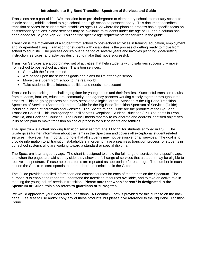## **Introduction to Big Bend Transition Spectrum of Services and Guide**

Transitions are a part of life. We transition from pre-kindergarten to elementary school, elementary school to middle school, middle school to high school, and high school to postsecondary. This document describes transition services for students with disabilities ages 11-22 where the planning process has a specific focus on postsecondary options. Some services may be available to students under the age of 11, and a column has been added for Beyond Age 22. You can find specific age requirements for services in the guide.

Transition is the movement of a student from school to post-school activities in training, education, employment and independent living. Transition for students with disabilities is the process of getting ready to move from school to adult life. The process occurs over a period of several years and involves planning, goal-setting, instruction, services, and activities designed to make that move successful.

Transition Services are a coordinated set of activities that help students with disabilities successfully move from school to post-school activities. Transition services:

- Start with the future in mind
- Are based upon the student's goals and plans for life after high school
- Move the student from school to the real world
- Take student's likes, interests, abilities and needs into account

Transition is an exciting and challenging time for young adults and their families. Successful transition results from students, families, educators, community, and agency partners working closely together throughout the process. This on-going process has many steps and a logical order. Attached is the Big Bend Transition Spectrum of Services (Spectrum) and the Guide for the Big Bend Transition Spectrum of Services (Guide) including a listing of acronyms and websites. The Spectrum and Guide are the products of the Big Bend Transition Council. This interagency council serves Exceptional Student Education (ESE) students in Leon, Wakulla, and Gadsden Counties. The Council meets monthly to collaborate and address identified objectives in its action plan to make transition an easier process for our students and families.

The Spectrum is a chart showing transition services from age 11 to 22 for students enrolled in ESE. The Guide gives further information about the items in the Spectrum and covers all exceptional student related services. However, it is important to note that all students may not be eligible for all services. The goal is to provide information to all transition stakeholders in order to have a seamless transition process for students in our school systems who are working toward a standard or special diploma.

The Spectrum is arranged by age. The chart is designed to show the full range of services for a specific age, and when the pages are laid side by side, they show the full range of services that a student may be eligible to receive—a spectrum. Please note that items are repeated as appropriate for each age. The number in each box on the Spectrum corresponds to the numbered descriptions in the Guide.

The Guide provides detailed information and contact sources for each of the entries on the Spectrum. The purpose is to enable the reader to understand the transition resources available, and to take an active role in meeting the young adults' needs in transition. **Please note that when "parent" is designated in the Spectrum or Guide, this also refers to guardians or surrogates.**

We would appreciate your ideas and suggestions. A Feedback Form is provided for this purpose on the back page. Feel free to use and/or copy any of these products, but please give reference to the Big Bend Transition Council.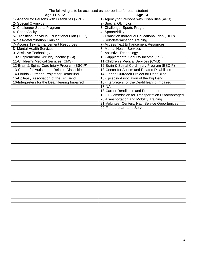| Age 11 & 12                                      | <b>Age 13</b>                                     |
|--------------------------------------------------|---------------------------------------------------|
| 1- Agency for Persons with Disabilities (APD)    | 1- Agency for Persons with Disabilities (APD)     |
| 2- Special Olympics                              | 2- Special Olympics                               |
| 3- Challenger Sports Program                     | 3- Challenger Sports Program                      |
| 4- SportsAbility                                 | 4- SportsAbility                                  |
| 5- Transition Individual Educational Plan (TIEP) | 5- Transition Individual Educational Plan (TIEP)  |
| 6- Self-determination Training                   | 6- Self-determination Training                    |
| 7- Access Text Enhancement Resources             | 7- Access Text Enhancement Resources              |
| 8- Mental Health Services                        | 8- Mental Health Services                         |
| 9- Assistive Technology                          | 9- Assistive Technology                           |
| 10-Supplemental Security Income (SSI)            | 10-Supplemental Security Income (SSI)             |
| 11-Children's Medical Services (CMS)             | 11-Children's Medical Services (CMS)              |
| 12-Brain & Spinal Cord Injury Program (BSCIP)    | 12-Brain & Spinal Cord Injury Program (BSCIP)     |
| 13-Center for Autism and Related Disabilities    | 13-Center for Autism and Related Disabilities     |
| 14-Florida Outreach Project for Deaf/Blind       | 14-Florida Outreach Project for Deaf/Blind        |
| 15-Epilepsy Association of the Big Bend          | 15-Epilepsy Association of the Big Bend           |
| 16-Interpreters for the Deaf/Hearing Impaired    | 16-Interpreters for the Deaf/Hearing Impaired     |
|                                                  | $17 - NA$                                         |
|                                                  | 18-Career Readiness and Preparation               |
|                                                  | 19-FL Commission for Transportation Disadvantaged |
|                                                  | 20-Transportation and Mobility Training           |
|                                                  | 21-Volunteer Centers, Natl. Service Opportunities |
|                                                  | 22-Florida Learn and Serve                        |
|                                                  |                                                   |
|                                                  |                                                   |
|                                                  |                                                   |
|                                                  |                                                   |
|                                                  |                                                   |
|                                                  |                                                   |
|                                                  |                                                   |
|                                                  |                                                   |
|                                                  |                                                   |
|                                                  |                                                   |
|                                                  |                                                   |
|                                                  |                                                   |
|                                                  |                                                   |
|                                                  |                                                   |
|                                                  |                                                   |
|                                                  |                                                   |
|                                                  |                                                   |
|                                                  |                                                   |
|                                                  |                                                   |
|                                                  |                                                   |
|                                                  |                                                   |
|                                                  |                                                   |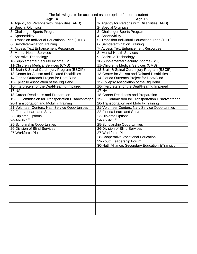|  | The following is to be accessed as appropriate for each student |
|--|-----------------------------------------------------------------|
|--|-----------------------------------------------------------------|

| Age 14                                            | <b>Age 15</b>                                       |
|---------------------------------------------------|-----------------------------------------------------|
| 1- Agency for Persons with Disabilities (APD)     | 1- Agency for Persons with Disabilities (APD)       |
| 2- Special Olympics                               | 2- Special Olympics                                 |
| 3- Challenger Sports Program                      | 3- Challenger Sports Program                        |
| 4- SportsAbility                                  | 4- SportsAbility                                    |
| 5- Transition Individual Educational Plan (TIEP)  | 5- Transition Individual Educational Plan (TIEP)    |
| 6- Self-determination Training                    | 6- Self-determination Training                      |
| 7- Access Text Enhancement Resources              | 7- Access Text Enhancement Resources                |
| 8- Mental Health Services                         | 8- Mental Health Services                           |
| 9- Assistive Technology                           | 9- Assistive Technology                             |
| 10-Supplemental Security Income (SSI)             | 10-Supplemental Security Income (SSI)               |
| 11-Children's Medical Services (CMS)              | 11-Children's Medical Services (CMS)                |
| 12-Brain & Spinal Cord Injury Program (BSCIP)     | 12-Brain & Spinal Cord Injury Program (BSCIP)       |
| 13-Center for Autism and Related Disabilities     | 13-Center for Autism and Related Disabilities       |
| 14-Florida Outreach Project for Deaf/Blind        | 14-Florida Outreach Project for Deaf/Blind          |
| 15-Epilepsy Association of the Big Bend           | 15-Epilepsy Association of the Big Bend             |
| 16-Interpreters for the Deaf/Hearing Impaired     | 16-Interpreters for the Deaf/Hearing Impaired       |
| <b>17-NA</b>                                      | <b>17-NA</b>                                        |
| 18-Career Readiness and Preparation               | 18-Career Readiness and Preparation                 |
| 19-FL Commission for Transportation Disadvantaged | 19-FL Commission for Transportation Disadvantaged   |
| 20-Transportation and Mobility Training           | 20-Transportation and Mobility Training             |
| 21-Volunteer Centers, Natl. Service Opportunities | 21-Volunteer Centers, Natl. Service Opportunities   |
| 22-Florida Learn and Serve                        | 22-Florida Learn and Serve                          |
| 23-Diploma Options                                | 23-Diploma Options                                  |
| 24-Ability 1 <sup>st</sup>                        | 24-Ability 1 <sup>st</sup>                          |
| 25-Scholarship Opportunities                      | 25-Scholarship Opportunities                        |
| 26-Division of Blind Services                     | 26-Division of Blind Services                       |
| 27-Workforce Plus                                 | 27-Workforce Plus                                   |
|                                                   | 28-Cooperative Vocational Education                 |
|                                                   | 29-Youth Leadership Forum                           |
|                                                   | 30-Natl. Alliance, Secondary Education & Transition |
|                                                   |                                                     |
|                                                   |                                                     |
|                                                   |                                                     |
|                                                   |                                                     |
|                                                   |                                                     |
|                                                   |                                                     |
|                                                   |                                                     |
|                                                   |                                                     |
|                                                   |                                                     |
|                                                   |                                                     |
|                                                   |                                                     |
|                                                   |                                                     |
|                                                   |                                                     |
|                                                   |                                                     |
|                                                   |                                                     |
|                                                   |                                                     |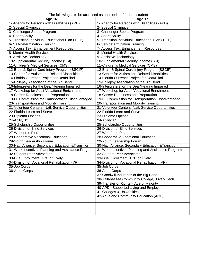The following is to be accessed as appropriate for each student

| <b>Age 16</b>                                       | Age 17                                              |  |
|-----------------------------------------------------|-----------------------------------------------------|--|
| 1- Agency for Persons with Disabilities (APD)       | 1- Agency for Persons with Disabilities (APD)       |  |
| 2- Special Olympics                                 | 2- Special Olympics                                 |  |
| 3- Challenger Sports Program                        | 3- Challenger Sports Program                        |  |
| 4- SportsAbility                                    | 4- SportsAbility                                    |  |
| 5- Transition Individual Educational Plan (TIEP)    | 5- Transition Individual Educational Plan (TIEP)    |  |
| 6- Self-determination Training                      | 6- Self-determination Training                      |  |
| <b>7- Access Text Enhancement Resources</b>         | 7- Access Text Enhancement Resources                |  |
| 8- Mental Health Services                           | 8- Mental Health Services                           |  |
| 9- Assistive Technology                             | 9- Assistive Technology                             |  |
| 10-Supplemental Security Income (SSI)               | 10-Supplemental Security Income (SSI)               |  |
| 11-Children's Medical Services (CMS)                | 11-Children's Medical Services (CMS)                |  |
| 12-Brain & Spinal Cord Injury Program (BSCIP)       | 12-Brain & Spinal Cord Injury Program (BSCIP)       |  |
| 13-Center for Autism and Related Disabilities       | 13-Center for Autism and Related Disabilities       |  |
| 14-Florida Outreach Project for Deaf/Blind          | 14-Florida Outreach Project for Deaf/Blind          |  |
| 15-Epilepsy Association of the Big Bend             | 15-Epilepsy Association of the Big Bend             |  |
| 16-Interpreters for the Deaf/Hearing Impaired       | 16-Interpreters for the Deaf/Hearing Impaired       |  |
| 17-Workshop for Adult Vocational Enrichment         | 17-Workshop for Adult Vocational Enrichment         |  |
| 18-Career Readiness and Preparation                 | 18-Career Readiness and Preparation                 |  |
| 19-FL Commission for Transportation Disadvantaged   | 19-FL Commission for Transportation Disadvantaged   |  |
| 20-Transportation and Mobility Training             | 20-Transportation and Mobility Training             |  |
| 21-Volunteer Centers, Natl. Service Opportunities   | 21-Volunteer Centers, Natl. Service Opportunities   |  |
| 22-Florida Learn and Serve                          | 22-Florida Learn and Serve                          |  |
| 23-Diploma Options                                  | 23-Diploma Options                                  |  |
| 24-Ability 1 <sup>st</sup>                          | 24-Ability 1 <sup>st</sup>                          |  |
| 25-Scholarship Opportunities                        | 25-Scholarship Opportunities                        |  |
| 26-Division of Blind Services                       | 26-Division of Blind Services                       |  |
| 27-Workforce Plus                                   | 27-Workforce Plus                                   |  |
| 28-Cooperative Vocational Education                 | 28-Cooperative Vocational Education                 |  |
| 29-Youth Leadership Forum                           | 29-Youth Leadership Forum                           |  |
| 30-Natl. Alliance, Secondary Education & Transition | 30-Natl. Alliance, Secondary Education & Transition |  |
| 31-Work Incentives Planning and Assistance Program  | 31-Work Incentives Planning and Assistance Program  |  |
| 32-Student Peer Advocates                           | 32-Student Peer Advocates                           |  |
| 33-Dual Enrollment, TCC or Lively                   | 33-Dual Enrollment, TCC or Lively                   |  |
| 34-Division of Vocational Rehabilitation (VR)       | 34-Division of Vocational Rehabilitation (VR)       |  |
| 35-Job Corps                                        | 35-Job Corps                                        |  |
| 36-AmeriCorps                                       | 36-AmeriCorps                                       |  |
|                                                     | 37-Goodwill Industries of the Big Bend              |  |
|                                                     | 38-Tallahassee Community College, Lively Tech       |  |
|                                                     | 39-Transfer of Rights - Age of Majority             |  |
|                                                     | 40-APD, Supported Living and Employment             |  |
|                                                     | 41-Colleges & Universities                          |  |
|                                                     | 42-Adult and Community Education (ACE)              |  |
|                                                     |                                                     |  |
|                                                     |                                                     |  |
|                                                     |                                                     |  |
|                                                     |                                                     |  |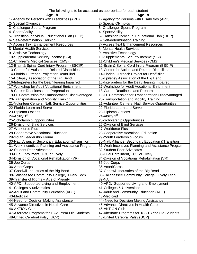The following is to be accessed as appropriate for each student

| <b>Age 18</b>                                       | Age 19                                              |  |
|-----------------------------------------------------|-----------------------------------------------------|--|
| 1- Agency for Persons with Disabilities (APD)       | 1- Agency for Persons with Disabilities (APD)       |  |
| 2- Special Olympics                                 | 2- Special Olympics                                 |  |
| 3- Challenger Sports Program                        | 3- Challenger Sports Program                        |  |
| 4- SportsAbility                                    | 4- SportsAbility                                    |  |
| 5- Transition Individual Educational Plan (TIEP)    | 5- Transition Individual Educational Plan (TIEP)    |  |
| 6- Self-determination Training                      | 6- Self-determination Training                      |  |
| <b>7- Access Text Enhancement Resources</b>         | 7- Access Text Enhancement Resources                |  |
| 8- Mental Health Services                           | 8- Mental Health Services                           |  |
| 9- Assistive Technology                             | 9- Assistive Technology                             |  |
| 10-Supplemental Security Income (SSI)               | 10-Supplemental Security Income (SSI)               |  |
| 11-Children's Medical Services (CMS)                | 11-Children's Medical Services (CMS)                |  |
| 12-Brain & Spinal Cord Injury Program (BSCIP)       | 12-Brain & Spinal Cord Injury Program (BSCIP)       |  |
| 13-Center for Autism and Related Disabilities       | 13-Center for Autism and Related Disabilities       |  |
| 14-Florida Outreach Project for Deaf/Blind          | 14-Florida Outreach Project for Deaf/Blind          |  |
| 15-Epilepsy Association of the Big Bend             | 15-Epilepsy Association of the Big Bend             |  |
| 16-Interpreters for the Deaf/Hearing Impaired       | 16-Interpreters for the Deaf/Hearing Impaired       |  |
| 17-Workshop for Adult Vocational Enrichment         | 17-Workshop for Adult Vocational Enrichment         |  |
| 18-Career Readiness and Preparation                 | 18-Career Readiness and Preparation                 |  |
| 19-FL Commission for Transportation Disadvantaged   | 19-FL Commission for Transportation Disadvantaged   |  |
| 20-Transportation and Mobility Training             | 20-Transportation and Mobility Training             |  |
| 21-Volunteer Centers, Natl. Service Opportunities   | 21-Volunteer Centers, Natl. Service Opportunities   |  |
| 22-Florida Learn and Serve                          | 22-Florida Learn and Serve                          |  |
| 23-Diploma Options                                  | 23-Diploma Options                                  |  |
| 24-Ability $1st$                                    | 24-Ability 1 <sup>st</sup>                          |  |
| 25-Scholarship Opportunities                        | 25-Scholarship Opportunities                        |  |
| 26-Division of Blind Services                       | 26-Division of Blind Services                       |  |
| 27-Workforce Plus                                   | 27-Workforce Plus                                   |  |
| 28-Cooperative Vocational Education                 | 28-Cooperative Vocational Education                 |  |
| 29-Youth Leadership Forum                           | 29-Youth Leadership Forum                           |  |
| 30-Natl. Alliance, Secondary Education & Transition | 30-Natl. Alliance, Secondary Education & Transition |  |
| 31-Work Incentives Planning and Assistance Program  | 31-Work Incentives Planning and Assistance Program  |  |
| 32-Student Peer Advocates                           | 32-Student Peer Advocates                           |  |
| 33-Dual Enrollment, TCC or Lively                   | 33-Dual Enrollment, TCC or Lively                   |  |
| 34-Division of Vocational Rehabilitation (VR)       | 34-Division of Vocational Rehabilitation (VR)       |  |
| 35-Job Corps                                        | 35-Job Corps                                        |  |
| 36-AmeriCorps                                       | 36-AmeriCorps                                       |  |
| 37-Goodwill Industries of the Big Bend              | 37-Goodwill Industries of the Big Bend              |  |
| 38-Tallahassee Community College, Lively Tech       | 38-Tallahassee Community College, Lively Tech       |  |
| 39-Transfer of Rights - Age of Majority             | 39-NA                                               |  |
| 40-APD, Supported Living and Employment             | 40-APD, Supported Living and Employment             |  |
| 41-Colleges & universities                          | 41-Colleges & Universities                          |  |
| 42-Adult and Community Education (ACE)              | 42-Adult and Community Education (ACE)              |  |
| 43-Medicaid                                         | 43-Medicaid                                         |  |
| 44-Need for Decision Making Assistance              | 44- Need for Decision Making Assistance             |  |
| 45-Advance Directives in Health Care                | 45-Advance Directives in Health Care                |  |
| 46-AKTION Club                                      | <b>46-AKTION Club</b>                               |  |
| 47-Alternate Programs for 18-21 Year Old Students   | 47-Alternate Programs for 18-21 Year Old Students   |  |
| 48-United Cerebral Palsy (UCP)                      | 48-United Cerebral Palsy (UCP)                      |  |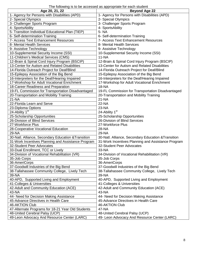The following is to be accessed as appropriate for each student

| Age 20, 21, 22                                      | $\sim$ properties to the properties of $\sim$<br><b>Beyond Age 22</b> |
|-----------------------------------------------------|-----------------------------------------------------------------------|
| 1- Agency for Persons with Disabilities (APD)       | 1- Agency for Persons with Disabilities (APD)                         |
| 2- Special Olympics                                 | 2- Special Olympics                                                   |
| 3- Challenger Sports Program                        | 3- Challenger Sports Program                                          |
| 4- SportsAbility                                    | 4- SportsAbility                                                      |
| 5- Transition Individual Educational Plan (TIEP)    | 5-NA                                                                  |
| 6- Self-determination Training                      | 6- Self-determination Training                                        |
| 7- Access Text Enhancement Resources                | 7- Access Text Enhancement Resources                                  |
| 8- Mental Health Services                           | 8- Mental Health Services                                             |
| 9- Assistive Technology                             | 9- Assistive Technology                                               |
| 10-Supplemental Security Income (SSI)               | 10-Supplemental Security Income (SSI)                                 |
| 11-Children's Medical Services (CMS)                | $11-NA$                                                               |
| 12-Brain & Spinal Cord Injury Program (BSCIP)       | 12-Brain & Spinal Cord Injury Program (BSCIP)                         |
| 13-Center for Autism and Related Disabilities       | 13-Center for Autism and Related Disabilities                         |
| 14-Florida Outreach Project for Deaf/Blind          | 14-Florida Outreach Project for Deaf/Blind                            |
| 15-Epilepsy Association of the Big Bend             | 15-Epilepsy Association of the Big Bend                               |
| 16-Interpreters for the Deaf/Hearing Impaired       | 16-Interpreters for the Deaf/Hearing Impaired                         |
| 17-Workshop for Adult Vocational Enrichment         | 17-Workshop for Adult Vocational Enrichment                           |
| 18-Career Readiness and Preparation                 | <b>18-NA</b>                                                          |
| 19-FL Commission for Transportation Disadvantaged   | 19-FL Commission for Transportation Disadvantaged                     |
| 20-Transportation and Mobility Training             | 20-Transportation and Mobility Training                               |
| 21-NA                                               | $21 - NA$                                                             |
| 22-Florida Learn and Serve                          | 22-NA                                                                 |
| 23-Diploma Options                                  | 23-NA                                                                 |
| 24-Ability 1st                                      | 24-Ability 1 <sup>st</sup>                                            |
| 25-Scholarship Opportunities                        | 25-Scholarship Opportunities                                          |
| 26-Division of Blind Services                       | 26-Division of Blind Services                                         |
| 27-Workforce Plus                                   | 27-Workforce Plus                                                     |
| 28-Cooperative Vocational Education                 | 28-NA                                                                 |
| 29-NA                                               | 29-NA                                                                 |
| 30-Natl. Alliance, Secondary Education & Transition | 30-Natl. Alliance, Secondary Education & Transition                   |
| 31-Work Incentives Planning and Assistance Program  | 31-Work Incentives Planning and Assistance Program                    |
| 32-Student Peer Advocates                           | 32-Student Peer Advocates                                             |
| 33-Dual Enrollment, TCC or Lively                   | 33-NA                                                                 |
| 34-Division of Vocational Rehabilitation (VR)       | 34-Division of Vocational Rehabilitation (VR)                         |
| 35-Job Corps                                        | 35-Job Corps                                                          |
| 36-AmeriCorps                                       | 36-AmeriCorps                                                         |
| 37-Goodwill Industries of the Big Bend              | 37-Goodwill Industries of the Big Bend                                |
| 38-Tallahassee Community College, Lively Tech       | 38-Tallahassee Community College, Lively Tech                         |
| 39-NA                                               | 39-NA                                                                 |
| 40-APD, Supported Living and Employment             | 40-APD, Supported Living and Employment                               |
| 41-Colleges & Universities                          | 41-Colleges & Universities                                            |
| 42-Adult and Community Education (ACE)              | 42-Adult and Community Education (ACE)                                |
| 43-NA                                               | 43-NA                                                                 |
| 44- Need for Decision Making Assistance             | 44- Need for Decision Making Assistance                               |
| 45-Advance Directives in Health Care                | 45-Advance Directives in Health Care                                  |
| 46-AKTION Club                                      | 46-AKTION Club                                                        |
| 47-Alternate Programs for 18-21 Year Old Students   | 47-NA                                                                 |
| 48-United Cerebral Palsy (UCP)                      | 48-United Cerebral Palsy (UCP)                                        |
| 49-Leon Advocacy And Resource Center (LARC)         | 49- Leon Advocacy And Resource Center (LARC)                          |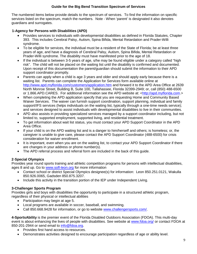## **Guide for the Big Bend Transition Spectrum of Services**

The numbered items below provide details to the spectrum of services. To find the information on specific services listed on the spectrum, match the numbers. Note - When 'parent' is designated it also denotes guardians and surrogates.

## **1-Agency for Persons with Disabilities (APD)**

- Provides services to individuals with developmental disabilities as defined in Florida Statutes, Chapter 393. This includes Cerebral Palsy, Autism, Spina Bifida, Mental Retardation and Prader-Willi syndrome.
- To be eligible for services, the individual must be a resident of the State of Florida; be at least three years of age, and have a diagnosis of Cerebral Palsy, Autism, Spina Bifida, Mental Retardation or Prader-Willi syndrome. The disability must have manifested prior to the age of 18.
- If the individual is between 3-5 years of age, s/he may be found eligible under a category called "high risk". The child will not be placed on the waiting list until the disability is confirmed and documented. Upon receipt of this documentation the parent/guardian should submit the information to their APD support coordinator promptly.
- Parents can apply when a child is age 3 years and older and should apply early because there is a waiting list. Parents can complete the Application for Services form available online at <http://www.apd.myflorida.com/customers/application.htm> and forward it to the APD Area Office at 2639 North Monroe Street, Building B, Suite 100, Tallahassee, Florida 32399-2949; or, call (850) 488-6500 or 1.866.APD.CARES. For additional information see the APD website at: [<http://apd.myflorida.com.](http://apd.myflorida.com/)>
- When completing the APD application specify that you are requesting Home and Community Based Waiver Services. The waiver can furnish support coordination, support planning, individual and family support/IFS services (helps individuals on the waiting list, typically through a one-time needs service); and services designed to assist individuals with developmental disabilities to live in their communities.
- APD also assists in providing specialized services managed by a support coordinator including, but not limited to, supported employment, supported living, and residential treatment.
- To get information about wait list status, you must contact your APD Support Coordinator in the APD Area Office.
- If your child is on the APD waiting list and is a danger to him/herself and others; is homeless; or, the caregiver is unable to give care, please contact the APD Support Coordinator (488-6500) for crisis consideration for waiver enrollment.
- It is important, even when you are on the waiting list, to contact your APD Support Coordinator if there are changes in your address or phone number(s).
- The APD referral process and referral form are included in the back of this guide.

## **2**-**Special Olympics**

Provides year round sports training and athletic competition programs for persons with intellectual disabilities, ages 8 and up. Go to [www.sofl-leon.org](http://www.sofl-leon.org/) for more information

- Contact school or district Special Olympics designee(s) for information: Leon 850.251.0121, Wakulla 850.926.0065, Gadsden 850.875.3207.
- Include this activity in the transition portion of the IEP under Independent Living.

## **3-Challenger Sports Program**

Provides girls and boys with disabilities the opportunity to participate in a structured athletic program, regardless of their physical or intellectual abilities

- Participation may begin at age 5.
- Local programs are available in soccer, baseball, and swimming.
- Call 850.668.9428 for information, or go to website [www.challengersports.com/.](mailto:sports4specialkids@comcast.net)

**4-SportsAbility** is the premier event of the Florida Disabled Outdoors Association (FDOA). This multi-day event is about enhancing the lives of people with disabilities. See website at [www.fdoa.org/](http://www.fdoa.org/) or contact FDOA at 850-201-2944 or send email to [info@fdoa.org.](mailto:info@fdoa.org)

- Provides first hand access to resources.
- Demonstrates activities designed to encourage participation regardless of age or ability level.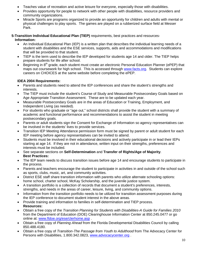- Teaches value of recreation and active leisure for everyone, especially those with disabilities.
- Provides opportunity for people to network with other people with disabilities, resource providers and community organizations.
- Miracle Sports are programs organized to provide an opportunity for children and adults with mental or physical challenges to play sports. The games are played on a rubberized surface field at Messer Park.

#### **5-Transition Individual Educational Plan (TIEP)** requirements, best practices and resources-**Information:**

- An Individual Educational Plan (IEP) is a written plan that describes the individual learning needs of a student with disabilities and the ESE services, supports, aids and accommodations and modifications that will be provided to that student.
- TIEP is the term used to describe the IEP developed for students age 14 and older. The TIEP helps prepare students for life after school.
- Beginning in 8<sup>th</sup> grade, each student must create an electronic Personal Education Planner (ePEP) that maps out coursework for high school. This is accessed through [www.facts.org.](http://www.facts.org/) Students can explore careers on CHOICES at the same website before completing the ePEP.

## **IDEA 2004 Requirements:**

- Parents and students need to attend the IEP conferences and share the student's strengths and interests.
- The TIEP must include the student's Course of Study and Measurable Postsecondary Goals based on Age Appropriate Transition Assessment. These are to be updated each year.
- Measurable Postsecondary Goals are in the areas of Education or Training, Employment, and Independent Living (as needed).
- For students who graduate or "age out," school districts shall provide the student with a summary of academic and functional performance and recommendations to assist the student in meeting postsecondary goals.
- Parents or adult students sign the Consent for Exchange of Information so agency representatives can be involved in the students' lives to provide services.
- Transition IEP Meeting Attendance permission form must be signed by parent or adult student for each IEP meeting before agency representatives can be invited to attend.
- Students must be involved in their educational decisions and actively participate in or lead their IEPs starting at age 14. If they are not in attendance, written input on their strengths, preferences and interests must be included.
- See separate sections on **Self-Determination** and **Transfer of Rights/Age of Majority**. **Best Practices:**
- The IEP team needs to discuss transition issues before age 14 and encourage students to participate in the process.
- Parents and teachers encourage the student to participate in activities in and outside of the school such as sports, clubs, music, art, and community activities.
- District ESE staff share transition information with parents who utilize alternate schooling options: home school, charter school, McKay Scholarship, and the juvenile justice system.
- A transition portfolio is a collection of records that document a student's preferences, interests, strengths, and needs in the areas of career, leisure, living, and community options.
- Information from the transition portfolio needs to be utilized for transition assessment purposes during the IEP conference to document student interest in the above areas.
- Provide training and information to families in self-determination and TIEP process. **Resources:**
- Obtain a free copy of the *Transition Planning for Students with Disabilities-A Guide for Families 2010* from the Department of Education (DOE) Clearinghouse Information Center at 850.245.0477 or go online at: [www.fldoe.org/ese/clerhome.asp](http://www.fldoe.org/ese/clerhome.asp).
- Obtain a free copy of *Planning Ahead* from the Florida Developmental Disabilities Council by calling 850.488.4180.
- Obtain a free copy of *Transition-The Passage from Youth to Adulthood* from The Advocacy Center for Persons with Disabilities, 1.800.342.0823, [www.advocacycenter.org](http://www.advocacycenter.org/) .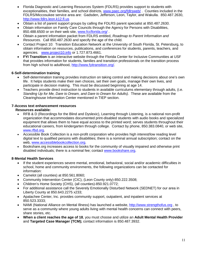- Florida Diagnostic and Learning Resources System (FDLRS) provides support to students with exceptionalities, their families, and school districts, [www.paec.org/fdlrsweb/](http://www.paec.org/fdlrsweb/) . Counties included in the FDLRS/Miccosukee service area are: Gadsden, Jefferson, Leon, Taylor, and Wakulla. 850.487.2630, [http://www.fdlrs.leon.k12.fl.us](http://www.fdlrs.leon.k12.fl.us/)
- Obtain a list of parent support groups by calling the FDLRS parent specialist at 850.487.2630.
- Obtain information on Family Care Councils through the Agency for Persons with Disabilities, 850.488.6500 or on their web site, [www.fccflorida.org/](http://www.fccflorida.org/).
- Obtain a parent information packet from FDLRS entitled, *Roadmap to Parent Information and Resources*. Call 850.487.2630 and specify the age of the child.
- Contact Project 10: Transition Education Network at the University of South Florida, St. Petersburg, to obtain information on resources, publications, and conferences for students, parents, teachers, and agencies. [www.project10.info](http://www.project10.info/) or 1.727.873.4661.
- **FYI Transition** is an interactive website through the Florida Center for Inclusive Communities at USF that provides information for students, families and transition professionals on the transition process from high school to adulthood, [http://www.fyitransition.org/.](http://www.fyitransition.org/)

## **6**-**Self-determination training**

- Self-determination training provides instruction on taking control and making decisions about one's own life. It helps students make their own choices, set their own goals, manage their own lives, and participate in decision making. This must be discussed beginning at age 14.
- Teachers provide direct instruction to students in available curriculums elementary through adults, (i.e. *Standing Up for Me, Dare to Dream, and Dare to Dream for Adults).* These are available from the Clearinghouse Information Center mentioned in TIEP section.

## **7-Access text enhancement resources**

## **Resources available:**

- RFB & D (Recordings for the Blind and Dyslexic), Learning through Listening, is a national non-profit organization that accommodates documented print-disabled students with audio books and specialized equipment that allows them to have equal access to the printed word; serves students throughout their educational careers, from kindergarten through college. Contact by phone, 850.383.0840, or web site, [www.rfbd.org.](http://www.rfbd.org/)
- Accessible Book Collection is a non-profit corporation who provides high interest/low reading level digital text to qualified persons with disabilities; there is a nominal annual subscription; contact on the web, [www.accessiblebookcollection.org.](http://www.accessiblebookcollection.org/)
- Bookshare.org increases access to books for the community of visually impaired and otherwise print disabled individuals; there is a nominal fee; contact [www.bookshare.org.](http://www.bookshare.org/)

## **8**-**Mental Health Services**

- If the student experiences severe mental, emotional, behavioral, social and/or academic difficulties in school, home and community environments, the following organizations can be contacted for information:
- Camelot (all counties) at 850.561.8060;
- Community Intervention Center (CIC), (Leon County only)-850.222.3508;
- Children's Home Society (CHS), (all counties)-850.921.0772;
- For additional assistance call the Severely Emotionally Disturbed Network (SEDNET) for our area in Liberty County at 850.643.2275 x233;
- Apalachee Center, Inc. provides community support, outpatient, and inpatient services at 850.523.3333;
- NAMI (National Alliance on Mental Illness) has launched a website, [http://www.strengthofus.org](http://www.strengthofus.org/) , to serve as a community where young adults living with mental health concerns can connect with peers, share stories, etc.
- **When a client reaches the age of 18**, you must choose and utilize an **Adult Mental Health Provider** and **Targeted Case Manager (TCM);** contact information is 850.487.3932.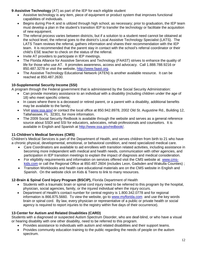## **9**-**Assistive Technology** (AT) as part of the IEP for each eligible student

- Assistive technology is any item, piece of equipment or product system that improves functional capabilities of individuals.
- Begins during Pre-K and is utilized through high school, as necessary; prior to graduation, the IEP team must develop a plan in the student's transition IEP to transfer the technology or facilitate the acquisition of new equipment.
- The referral process varies between districts, but if a solution to a student need cannot be obtained at the school level, the referral goes to the district's Local Assistive Technology Specialist (LATS). The LATS Team reviews the referral, gathers information and shares their recommendation with the IEP team. It is recommended that the parent stay in contact with the school's referral coordinator or their child's ESE teacher to check on the status of the referral.
- Invite AT providers to participate in IEP meetings.
- The Florida Alliance for Assistive Services and Technology (FAAST) strives to enhance the quality of life for those who use AT. It promotes awareness, access and advocacy. Call 1.888.788.9216 or 850.487.3278 or visit the website, [http://www.faast.org.](http://www.faast.org/)
- The Assistive Technology Educational Network (ATEN) is another available resource. It can be reached at 850.487.2630.

## **10-Supplemental Security Income (SSI)**

A program through the Federal government that is administered by the Social Security Administration:

- Can provide monetary assistance to an individual with a disability (including children under the age of 18) who meet specific criteria;
- In cases where there is a deceased or retired parent, or a parent with a disability, additional benefits may be available to the family;
- Visit [www.ssa.gov/](http://www.ssa.gov/) or contact the local office at 850.942.8978, 2002 Old St. Augustine Rd., Building 12, Tallahassee, FL 32301, for more information.
- The 2009 Social Security Redbook is available through the website and serves as a general reference source about SSDI and SSI for educators, advocates, rehab professionals and counselors. It is available in English and Spanish at [http://www.ssa.gov/redbook/.](http://www.ssa.gov/redbook/)

## **11**-**Children's Medical Services (CMS)**

Children's Medical Services is part of the Department of Health, and serves children from birth to 21 who have a chronic physical, developmental, emotional, or behavioral condition, and need specialized medical care.

- Care Coordinators are available to aid enrollees with transition related activities, including assistance in becoming more independent with medical and health needs, communication with other agencies, and participation in IEP transition meetings to explain the impact of diagnosis and medical consideration.
- For eligibility requirements and information on services offered visit the CMS website at [www.cms](http://www.cms-kids.com/)[kids.com](http://www.cms-kids.com/) or call the Regional Office at 850.487.2604 (includes Leon, Gadsden and Wakulla Counties) ;
- Transition Workbooks and health care educational materials are on the CMS website in English and Spanish. On the website click on Kids & Teens to link to many resources.

## **12**-**Brain & Spinal Cord Injury Program (BSCIP),** Florida Department of Health

- Students with a traumatic brain or spinal cord injury need to be referred to this program by the hospital, physician, social agencies, family, or the injured individual when the injury occurs.
- Department of Health's contact number for central registry is 1.800.342.0778 and for regional information is 866.875.5660. To view the website, go to [www.myflorida.com](http://www.myflorida.com/) and use the key words brain or spinal cord. By law, every physician or representative of a public or private health or social agency is required to report injuries to the registry within five days of their occurrence).

## **13**-**Center for Autism and Related Disabilities (CARD)**

Students with a diagnosed or suspected Autism Spectrum Disorder, who are deaf-blind, or who have a visual or hearing disability with one other disability, need to be referred to this program.

- Provides assistance to individuals with autism and related disabilities and their support teams.
- Provides community education training to the public regarding the needs of people on the autism spectrum.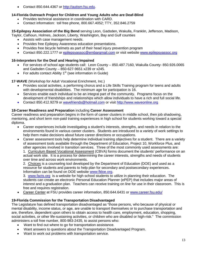Contact 850.644.4367 or [http://autism.fsu.edu.](http://autism.fsu.edu/)

#### **14-Florida Outreach Project for Children and Young Adults who are Deaf-Blind**

- Provides technical assistance in coordination with CARD.
- Contact information: toll free phone, 800.667.4052; TTY, 352.846.2759

**15-Epilepsy Association of the Big Bend** serving Leon, Gadsden, Wakulla, Franklin, Jefferson, Madison, Taylor, Calhoun, Holmes, Jackson, Liberty, Washington, Bay and Gulf counties

- Assists with case management needs.
- Provides free Epilepsy Awareness education presentations.
- Provides free bicycle helmets as part of their head injury prevention program
- Contact 850.222.1777 or [epilepsyassoc@embarqmail.com](mailto:epilepsyassoc@embarqmail.com) or visit website [www.epilepsyassoc.org](http://www.epilepsyassoc.org/)

#### **16-Interpreters for the Deaf and Hearing Impaired**

- For services of school age students call: Leon County 850.487.7160, Wakulla County- 850.926.0065 and Gadsden County – 850-627-9651 x239 or x245.
- For adults contact Ability  $1<sup>st</sup>$  (see information in Guide)

**17**-**WAVE** (Workshop for Adult Vocational Enrichment, Inc.)

- Provides social activities, a performing chorus and a Life Skills Training program for teens and adults with developmental disabilities. The minimum age for participation is 16.
- Services enable each individual to be an integral part of the community. Programs focus on the development of friendships and relationships which allow individuals to have a rich and full social life.
- Contact 850.412.9279 or [wavefriends@hotmail.com](mailto:wavefriends@hotmail.com) or visit [http://www.waveonline.org](http://www.waveonline.org/)

#### **18-Career Readiness and Preparation** including **Career Assessment**

Career readiness and preparation begins in the form of career clusters in middle school, then job shadowing, mentoring, and short term non-paid training experiences in high school for students working toward a special diploma.

- Career experiences include investigating a student's interests, strengths, and needs in relation to the environments found in various career clusters. Students are introduced to a variety of work settings to help them make decisions about future career directions or occupations.
- Career assessment tools help determine individual training objectives for a student. There are a variety of assessment tools available through the Department of Education, Project 10, Workforce Plus, and other agencies involved in transition services. Three of the most commonly used assessments are: 1. Curriculum Based Vocational Assessment (CBVA) forms document the students' performance on an actual work site. It is a process for determining the career interests, strengths and needs of students over time and across work environments.

2. Choices is a counseling tool developed by the Department of Education (DOE) and used as a resource for students and parents to help plan for secondary and postsecondary experiences. Information can be found on DOE website [www.fldoe.org.](http://www.fldoe.org/)

3. [www.facts.org](http://www.facts.org/) is a website for high school students to utilize in planning their education. The students can create an electronic Personal Education Planner (ePEP) that includes major areas of interest and a graduation plan. Teachers can receive training on line for use in their classroom. This is free and requires registration.

• Career Center at FSU provides career information, 850.644.6431 or [www.career.fsu.edu/](http://www.career.fsu.edu/)

## **19-Florida Commission for the Transportation Disadvantaged**

The Legislature has defined transportation disadvantaged as "those persons, who because of physical or mental disability, income status, or age, are unable to transport themselves or to purchase transportation and are, therefore, dependent upon others to obtain access to health care, employment, education, shopping, social activities, or other life-sustaining activities, or children who are disabled or high-risk." The commission administers a toll free number, 800-983-2435, to assist persons who:

- Want to find out where to go for transportation assistance.
- Want answers to questions about the Transportation Disadvantaged Program.
- Want to work out problems with transportation service.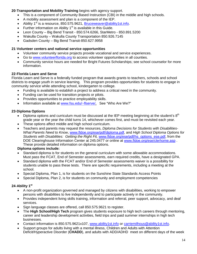## **20**-**Transportation and Mobility Training** begins with agency support.

- This is a component of Community Based Instruction (CBI) in the middle and high schools.
- A mobility assessment and plan is a component of the IEP.
- Ability 1<sup>st</sup> is a resource, 850.575.9621, [Bruceweaver@ability1st.info.](http://www.ability1st.info/)
- Further information on Ability  $1<sup>st</sup>$  is available in this Guide.
- Leon County Big Bend Transit 850.574.6266, StarMetro 850.891.5200
- Wakulla County Wakulla County Transportation 850.926.7145
- Gadsden County Big Bend Transit-850.627.9958

## **21**-**Volunteer centers and national service opportunities**

- Volunteer community service projects provide vocational and service experiences.
- Go to [www.volunteerflorida.org](http://www.volunteerflorida.org/) to access volunteer opportunities in all counties.
- Community service hours are needed for Bright Futures Scholarships; see school counselor for more information.

## **22**-**Florida Learn and Serve**

Florida Learn and Serve is a federally funded program that awards grants to teachers, schools and school districts to engage youth in service learning. This program provides opportunities for students to engage in community service while attending school, kindergarten to college.

- Funding is available to establish a project to address a critical need in the community.
- Funding can be used for transition projects or pilots.
- Provides opportunities to practice employability skills.
- Information available at [www.fsu.edu/~flserve/,](http://www.fsu.edu/~flserve/) See "Who Are We?"

## **23**-**Diploma Options**

- Diploma options and curriculum must be discussed at the IEP meeting beginning at the student's  $8<sup>th</sup>$ grade year or the year the child turns 14, whichever comes first, and must be revisited each year.
- These options affect middle and high school curriculum.
- Teachers and parents may request the resources, *Diploma Decisions for Students with Disabilities-What Parents Need to Know*, [www.fldoe.org/ese/pdf/diploma.pdf,](http://www.fldoe.org/ese/pdf/diploma.pdf) and *High School Diploma Options for Students with Disabilities: Getting the Right Fit,* [www.fldoe.org/ese/pdf/hs\\_options\\_ese.pdf,](http://www.fldoe.org/ese/pdf/hs_options_ese.pdf) from the DOE Clearinghouse Information Center at 245.0477 or online at [www.fldoe.org/ese/clerhome.asp](http://www.fldoe.org/ese/clerhome.asp) . These provide detailed information on diploma options.

## **Diploma options include:**

- Standard diploma is for students on the general curriculum with some allowable accommodations. Must pass the FCAT, End of Semester assessments, earn required credits, have a designated GPA.
- Standard diploma with the FCAT and/or End of Semester assessments waiver is a possibility for students unable to pass these tests. There are specific requirements, including a meeting at the school.
- Special Diploma, Plan 1, is for students on the Sunshine State Standards Access Points
- Special Diploma, Plan 2, is for students on community and employment competencies

## **24**-**Ability 1st**

- A non-profit organization governed and managed by citizens with disabilities, working to empower persons with disabilities to live independently and to participate actively in the community.
- Provides independent living skills training, information and referral, peer support, advocacy, and deaf services.
- Sign language classes are offered, call 850.575.9621 to register.
- The **High School/High Tech** program gives students exposure to high tech careers through mentoring, career and leadership development activities, field trips and paid summer internships in high tech businesses.
- Contact information is 850.575.9621x107, [www.ability1st.info](http://www.ability1st.info/) or [carriemilhous@ability1st.info.](mailto:carriemilhous@ability1st.info)
- Support groups for adults living with a mental illness, Children and Adults with Attention Deficit/Hyperactive Disorder (**CHADD**), and adults with ADD/ADHD meet on different days of the week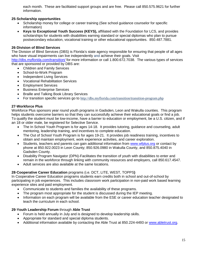each month. These are facilitated support groups and are free. Please call 850.575.9621 for further information.

## **25**-**Scholarship opportunities**

- Scholarship money for college or career training (See school guidance counselor for specific information)
- **Keys to Exceptional Youth Success (KEYS),** affiliated with the Foundation for LCS, and provides scholarships for students with disabilities earning standard or special diplomas who plan to pursue postsecondary education, vocational training or other educational opportunities. 850.487.7881.

## **26**-**Division of Blind Services**

The Division of Blind Services (DBS) is Florida's state agency responsible for ensuring that people of all ages who have visual impairments can live independently and achieve their goals. Visit

<http://dbs.myflorida.com/transition/> for more information or call 1.800.672.7038. The various types of services that are sponsored or provided by DBS are:

- Children and Family Services
- School-to-Work Program
- Independent Living Services
- Vocational Rehabilitation Services
- Employment Services
- Business Enterprise Services
- Braille and Talking Book Library Services
- For transition specific services go to <http://dbs.myflorida.com/transition/transition-program.php>

## **27**-**Workforce Plus**

Workforce Plus sponsors year round youth programs in Gadsden, Leon and Wakulla counties. This program helps students overcome barriers so that they can successfully achieve their educational goals or find a job. To qualify the student must be low-income, have a barrier to education or employment, be a U.S. citizen, and if an 18 or older male, be registered for Selective Service.

- The In School Youth Program is for ages 14-18. It provides tutoring, guidance and counseling, adult mentoring, leadership training, and incentives to complete education.
- The Out of School Youth Program is for ages 19-21. It provides job readiness training, incentives to obtain and maintain employment, work experience activities, and career exploration.
- Students, teachers and parents can gain additional information from [www.wfplus.org](http://www.wfplus.org/) or contact by phone at 850.922.0023 in Leon County; 850.926.0980 in Wakulla County, and 850.875.4040 in Gadsden County.
- Disability Program Navigator (DPN)-Facilitates the transition of youth with disabilities to enter and remain in the workforce through linking with community resources and employers, call 850.617.4547.
- Adult services are also available at the same locations.

## **28**-**Cooperative Career Education** programs (i.e. DCT, LITE, WEST, TOPPS**)**

In Cooperative Career Education programs students earn credits both in school and out-of-school by participating in job experiences. This includes classroom work participation in non-paid work based learning experience sites and paid employment.

- Communicate to students and families the availability of these programs.
- The program most appropriate for the student is discussed during the IEP meeting.
- Information on each program will be available from the ESE or career education teacher designated to teach the curriculum in each school.

## **29**-**Youth Leadership Forum** through **Able Trust**

- Forum is held annually in July and is designed to develop leadership skills.
- Appropriate for standard and special diploma students.
- Additional information available by contacting the Able Trust at 850.224-4493 or [www.abletrust.org.](http://www.abletrust.org/)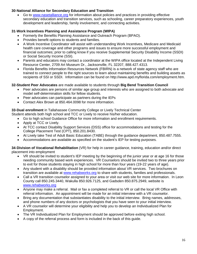## **30**-**National Alliance for Secondary Education and Transition**

• Go to [www.nasetalliance.org](http://www.nasetalliance.org/) for information about policies and practices in providing effective secondary education and transition services, such as schooling, career preparatory experiences, youth development and leadership, family involvement, and connecting activities.

## **31**-**Work Incentives Planning and Assistance Program (WIPA)**

- Formerly the Benefits Planning Assistance and Outreach Program (BPAO).
- Provides benefit options to students and families.
- A Work Incentive Coordinator will assist with understanding Work Incentives, Medicare and Medicaid health care coverage and other programs and issues to ensure more successful employment and financial outcomes; prior to calling know if you receive Supplemental Security Disability Income (SSDI) or Social Security Income (SSI).
- Parents and educators may contact a coordinator at the WIPA office located at the Independent Living Resource Center, 2709 Art Museum Dr., Jacksonville, FL 32207, 888.427.4313.
- Florida Benefits Information Resources Network (FBIRN) is a network of state agency staff who are trained to connect people to the right sources to learn about maintaining benefits and building assets as recipients of SSI or SSDI. Information can be found on http://www.apd.myflorida.com/employment.htm.

## **32-Student Peer Advocates** are made available to students through **Big Bend Transition Council**

- Peer advocates are persons of similar age group and interests who are assigned to both advocate and model self-determination skills for fellow students.
- Peer advocates can participate as partners during the IEPs
- Contact Alex Brown at 850.464.0098 for more information.

**33**-**Dual enrollment** in Tallahassee Community College or Lively Technical Center

Student attends both high school and TCC or Lively to receive his/her education.

- Go to high school Guidance Office for more information and enrollment requirements.
- Apply at TCC or Lively.
- At TCC contact Disability Support Services (DSS) office for accommodations and testing for the College Placement Test (CPT), 850.201.8430.
- At Lively take Test of Adult Basic Education (TABE) through the guidance department, 850.487.7555.
- Accommodations are available as specified on the student's IEP for testing purposes.

**34**-**Division of Vocational Rehabilitation** (VR) for help in career guidance, training, education and/or direct placement into employment

- VR should be invited to student's IEP meeting by the beginning of the junior year or at age 16 for those needing community based work experiences. VR Counselors should be invited two to three years prior to exit for those students staying in high school for more than four years (19-22 years of age).
- Any student with a disability should be provided information about VR services. Two brochures on transition are available at [www.rehabworks.org](http://www.rehabworks.org/) to share with students, families and professionals.
- Call a VR transition counselor assigned to your area or visit our web site for more information. In Leon County call 850.245.3440, Wakulla 850.926.7125, and Gadsden 850.875.2949, website is [www.rehabworks.org](http://www.rehabworks.org/)
- Anyone may make a referral. Mail or fax a completed referral to VR or call the local VR Office with referral information. An appointment will be made for an initial interview with a VR counselor.
- Bring any documentation that substantiates disability to the initial interview. Bring names, addresses, and phone numbers of any doctors or psychologists that you have seen to your initial interview.
- A VR counselor will determine your eligibility and help you to develop an Individualized Plan for Employment.
- The VR Individualized Plan for Employment should be approved before exiting high school.
- A copy of the referral process and form is included in the back of this guide.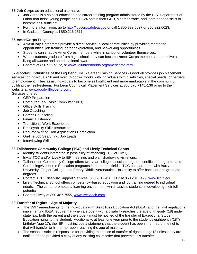#### **35-Job Corps** as an educational alternative

- Job Corps is a no cost education and career training program administered by the U.S. Department of Labor that helps young people age 16-24 obtain their GED, a career trade, and learn needed skills to become self-sufficient.
- For more information, go to [http://jobcorps.doleta.gov](http://jobcorps.doleta.gov/) or call 1.800.733.5627 or 850.922.0023.
- In Gadsden County call 850.216.1511.

#### **36**-**AmeriCorps** Programs

- **AmeriCorps** programs provide a direct service in local communities by providing mentoring opportunities, job training, career exploration, and networking opportunities.
- Students can shadow AmeriCorps members while in school or volunteer themselves.
- When students graduate from high school, they can become **AmeriCorps** members and receive a living allowance and an educational award.
- Contact at 850.921.5172, or [www.volunteerflorida.org/americorps.html](http://www.volunteerflorida.org/americorps.html)

**37-Goodwill Industries of the Big Bend, Inc. -** Career Training Services - Goodwill provides job placement services for individuals 16 and over. Goodwill works with individuals with disabilities, special needs, or barriers to employment. They assist individuals to become self sufficient and more marketable in the community, building their self-esteem. For Leon County call Placement Services at 850.576.7145x136 or go to their website at [www.goodwillbigbend.com.](http://www.goodwillbigbend.com/)

Services offered:

- GED Preparation
- Computer Lab (Basic Computer Skills)
- Office Skills Training
- Job Coaching
- Career Counseling
- Financial Literacy
- Transitional Work Experience
- Employability Skills Instruction
- Resume Writing, Job Applications Completion
- On-line Job Searching, Job Leads
- Interviewing Skills

## **38**-**Tallahassee Community College (TCC) and Lively Technical Center**

- Identify students interested in possibility of attending TCC or Lively.
- Invite TCC and/or Lively to IEP meetings and plan shadowing visitations.
- Tallahassee Community College offers two-year college associate degrees, certificate programs, and Continuing/Workforce Education programs in numerous fields. TCC has partnered with Barry University, Flagler College, and Embry-Riddle Aeronautical University to offer bachelor and graduate degrees.
- Contact TCC, Disability Support Services, 850.201.8430, TTY at 850.201.8429, [www.tcc.fl.edu.](http://www.tcc.fl.edu/)
- Lively Technical School offers competency–based education and job training geared to individual needs. The center promotes a learning environment which assists students in developing their full potential.
- Contact Lively at 850.487.7555, [www.livelytech.com.](http://www.livelytech.com/)

## **39**-**Transfer of Rights – Age of Majority**

- The 1997 amendments to the Individuals with Disabilities Education Act (IDEA) and the final regulations implementing IDEA require that when a student with a disability reaches the age of majority (18) under state law, both the parent and the student must be notified of the transfer of Exceptional Student Education rights to the student. Additionally, at least one year prior to the student's eighteenth  $(18<sup>th</sup>)$ birthday (age 17), the IEP must include a statement that the student has been informed of the rights that will transfer to him or her upon reaching the age of majority.
- The school district is responsible for providing the notice of transfer of rights at age18 unless they are notified of and provided a copy of any existing court order that prevents this transfer.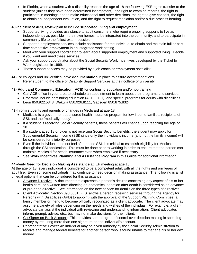• In Florida, when a student with a disability reaches the age of 18 the following ESE rights transfer to the student (unless they have been determined incompetent): the right to examine records, the right to participate in meetings and to make educational and other decisions, the right to give consent, the right to obtain an independent evaluation, and the right to request mediation and/or a due process hearing.

## **40**-If a client of **APD**, review plan to include **supported living and employment**

- Supported living provides assistance to adult consumers who require ongoing supports to live as independently as possible in their own homes, to be integrated into the community, and to participate in community life to the fullest extent possible.
- Supported employment services include assistance for the individual to obtain and maintain full or part time competitive employment in an integrated work setting.
- Meet with your support coordinator to learn about supported employment and supported living. Decide if you want and need these services.
- Ask your support coordinator about the Social Security Work Incentives developed by the Ticket to Work Legislation in 1999.
- These support services may be provided by a job coach or employment specialist.

**41**-For colleges and universities, have **documentation** in place to assure accommodations.

Refer student to the office of Disability Support Services at their college or university.

## **42**- **Adult and Community Education** (**ACE)** for continuing education and/or job training

- Call ACE office in your area to schedule an appointment to learn about their programs and services.
- Programs include continuing education (ACE, GED), and special programs for adults with disabilities
- Leon 850.922.5343, Wakulla 850.926.8111, Gadsden 850.875.8324

**43**-Inform students and parents of changes in **Medicaid** at age 18

- Medicaid is a government-sponsored health insurance program for low-income families, recipients of SSI, and the "medically needy".
- If a student is receiving Social Security benefits, these benefits will change upon reaching the age of 18.
- If a student aged 18 or older is not receiving Social Security benefits, the student may apply for Supplemental Security Income (SSI) since only the individual's income (and not the family income) will be considered for eligibility purposes.
- Even if the individual does not feel s/he needs SSI, it is critical to establish eligibility for Medicaid through the SSI application. This must be done prior to working in order to ensure that the person can maintain Medicaid for health insurance even when employed if necessary.
- See **Work Incentives Planning and Assistance Program** in this Guide for additional information.

## **44**-Verify **Need for Decision Making Assistance** at IEP meeting at age 18

At the age of 18, every individual is considered to be a competent adult with all the rights and privileges of adult life. Even so, some individuals may continue to need decision making assistance. The following is a list of legal options that can be considered for this assistance:

- Advance Directive: A document that expresses a person's desires concerning any aspect of his or her health care, or a written form directing an anatomical donation after death is considered as an advance or pre-need directive. See information on the next service for details on the three types of directives.
- Client Advocate: Section 393.0651, F. S. allows a person receiving services through the Agency for Persons with Disabilities (APD) to appoint (with the approval of the Support Planning Committee) a family member or friend to become officially recognized as a client advocate. The client advocate may assume a variety of roles depending on the needs and wishes of the individual. For example, a client advocate can assist the individual with reviewing and understanding information. Client advocates inform, prompt, advise, etc., but may not make decisions for their client.
- Co-Signer on Bank Account: This provides some degree of control over decision making in spending money by requiring more than one signature on the individual's account.
- Representative Payee: An individual may be given authority by the Social Security Administration to receive and manage federal benefits for another person who is found unable to manage his or her own money.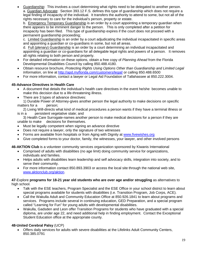Guardianship: This involves a court determining what rights need to be delegated to another person. a. Guardian Advocate: Section 393.12 F.S. defines this type of guardianship which does not require a legal finding of incapacity of the individual. It transfers the authority to attend to some, but not all of the rights necessary to care for the individual's person, property or estate.

b. Emergency Temporary Guardianship is an order by a court appointing a temporary guardian when there appears to be imminent danger to the person. This is only completed after a petition for incapacity has been filed. This type of guardianship expires if the court does not proceed with a permanent guardianship proceeding;

c. Limited Guardianship is an order by a court adjudicating the individual incapacitated in specific areas and appointing a guardian or co-guardians in some, but not all areas.

d. Full (plenary) Guardianship is an order by a court determining an individual incapacitated and appointing a guardian or co-guardians for all delegable legal rights and powers of a person. It removes all rights relating to both person and property.

- For detailed information on these options, obtain a free copy of *Planning Ahead* from the Florida Developmental Disabilities Council by calling 850.488.4180.
- Obtain resource brochure, *Protecting Rights Using Options Other than Guardianship and Limited Legal Information*, on line at<http://apd.myflorida.com/customers/legal/> or calling 850.488.6500
- For more information, contact a lawyer or Legal Aid Foundation of Tallahassee at 850.222.3004.

## **45-Advance Directives in Health Care**

- A document that details the individual's health care directives in the event he/she becomes unable to make this decision due to a life-threatening illness.
- There are 3 types of advance directives:

1) Durable Power of Attorney-gives another person the legal authority to make decisions on specific matters for a person;

2) Living Will-directs what kind of medical procedures a person wants if they have a terminal illness or is in a persistent vegetative state; and

3) Health Care Surrogate-names another person to make medical decisions for a person if they are unable to make decisions for themselves.

- Must be legally competent when signing an advance directive
- Does not require a lawyer, only the signature of two witnesses
- Forms are available from hospitals or from Aging with Dignity at [www.fivewishes.org](http://www.fivewishes.org/)
- Give completed forms to your doctor, family, the witnesses, your lawyer, and other involved persons

**46-AKTION Club** is a volunteer community services organization sponsored by Kiwanis International

- Comprised of adults with disabilities (no age limit) doing community service for organizations, individuals and families.
- Helps adults with disabilities learn leadership and self advocacy skills, integration into society, and to serve their community.
- For more information contact 850.893.3903 or access the local site through the national web site, [www.aktionclub.org/aktion.](http://www.aktionclub.org/aktion)

#### **47**-Explore **programs for 18-21 year old students who are over age and/or struggling** as alternatives to high school.

- Talk with the ESE teachers, Program Specialist and the ESE Office in your school district to learn about special programs available for students with disabilities (i.e. Transition Program, Job Corps, ACE).
- Call the Wakulla Adult and Community Education Office at 850.926.1841 to learn about programs and services. Programs include several in continuing education, GED Preparation, and a special program called "Learning for Fun" for young adults with developmental disabilities.
- Wakulla, Gadsden and Leon offer Transition Programs for students who have graduated with a special diploma, are under age 22, and need additional help in finding employment. Contact the Exceptional Student Education office at the appropriate county.

## **48-United Cerebral Palsy** (UCP)

• Offers daily services for adults with severe disabilities at the Lifelinks Adult Community Centers, 850.385.0791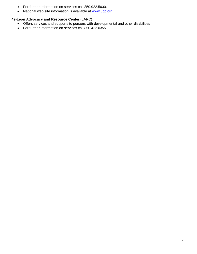- For further information on services call 850.922.5630.
- National web site information is available at [www.ucp.org.](http://www.ucp.org/)

### **49-Leon Advocacy and Resource Center** (LARC)

- Offers services and supports to persons with developmental and other disabilities
- For further information on services call 850.422.0355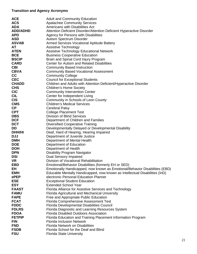## **Transition and Agency Acronyms**

| <b>ACE</b>      | <b>Adult and Community Education</b>                                        |
|-----------------|-----------------------------------------------------------------------------|
| <b>ACS</b>      | <b>Apalachee Community Services</b>                                         |
| <b>ADA</b>      | Americans with Disabilities Act                                             |
| <b>ADD/ADHD</b> | Attention Deficient Disorder/Attention Deficient Hyperactive Disorder       |
| <b>APD</b>      | Agency for Persons with Disabilities                                        |
| <b>ASD</b>      | Autism Spectrum Disorder                                                    |
| <b>ASVAB</b>    | <b>Armed Services Vocational Aptitude Battery</b>                           |
| AT              | Assistive Technology                                                        |
| <b>ATEN</b>     | <b>Assistive Technology Educational Network</b>                             |
| <b>BCE</b>      | <b>Business Cooperative Education</b>                                       |
| <b>BSCIP</b>    | Brain and Spinal Cord Injury Program                                        |
| <b>CARD</b>     | <b>Center for Autism and Related Disabilities</b>                           |
| <b>CBI</b>      | <b>Community Based Instruction</b>                                          |
| <b>CBVA</b>     | <b>Community Based Vocational Assessment</b>                                |
| cc              | <b>Community College</b>                                                    |
| <b>CEC</b>      | <b>Council for Exceptional Students</b>                                     |
| <b>CHADD</b>    | Children and Adults with Attention Deficient/Hyperactive Disorder           |
| <b>CHS</b>      | <b>Children's Home Society</b>                                              |
| <b>CIC</b>      | <b>Community Intervention Center</b>                                        |
| <b>CIL</b>      | Center for Independent Living                                               |
| <b>CIS</b>      | Community in Schools of Leon County                                         |
| <b>CMS</b>      | <b>Children's Medical Services</b>                                          |
| <b>CP</b>       | <b>Cerebral Palsy</b>                                                       |
| <b>CPT</b>      | <b>College Placement Test</b>                                               |
| <b>DBS</b>      | <b>Division of Blind Services</b>                                           |
| <b>DCF</b>      | Department of Children and Families                                         |
| <b>DCT</b>      | <b>Diversified Cooperative Training</b>                                     |
| DD              | Developmentally Delayed or Developmental Disability                         |
| <b>DHH/HI</b>   | Deaf, Hard of Hearing, Hearing Impaired                                     |
| <b>DJJ</b>      | Department of Juvenile Justice                                              |
| <b>DMH</b>      | Department of Mental Health                                                 |
| <b>DOE</b>      | Department of Education                                                     |
| <b>DOH</b>      | Department of Health                                                        |
| <b>DPN</b>      | <b>Disability Program Navigator</b>                                         |
| <b>DSI</b>      | <b>Dual Sensory Impaired</b>                                                |
| <b>VR</b>       | Division of Vocational Rehabilitation                                       |
| EBD             | Emotional/Behavior Disabilities (formerly EH or SED)                        |
| EH              | Emotionally Handicapped, now known as Emotional/Behavior Disabilities (EBD) |
| <b>EMH</b>      | Educable Mentally Handicapped, now known as Intellectual Disabilities (InD) |
| ePEP            | electronic Personal Education Planner                                       |
| <b>ESE</b>      | <b>Exceptional Student Education</b>                                        |
| <b>ESY</b>      | <b>Extended School Year</b>                                                 |
| <b>FAAST</b>    | Florida Alliance for Assistive Services and Technology                      |
| <b>FAMU</b>     | Florida Agricultural and Mechanical University                              |
| <b>FAPE</b>     | Free and Appropriate Public Education                                       |
| <b>FCAT</b>     | <b>Florida Comprehensive Assessment Test</b>                                |
| <b>FDDC</b>     | <b>Florida Developmental Disabilities Council</b>                           |
| <b>FDLRS</b>    | Florida Diagnostic and Learning Resources System                            |
| <b>FDOA</b>     | <b>Florida Disabled Outdoors Association</b>                                |
| <b>FETPIP</b>   | Florida Education and Training Placement Information Program                |
| <b>FIN</b>      | <b>Florida Inclusion Network</b>                                            |
| <b>FND</b>      | <b>Florida Network on Disabilities</b>                                      |
| <b>FSDB</b>     | Florida School for the Deaf and Blind                                       |
| <b>FSU</b>      | <b>Florida State University</b>                                             |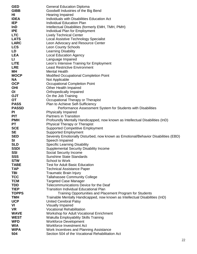| <b>GED</b>               | <b>General Education Diploma</b>                                                   |
|--------------------------|------------------------------------------------------------------------------------|
| <b>GIBB</b>              | Goodwill Industries of the Big Bend                                                |
| HI                       | Hearing Impaired                                                                   |
| <b>IDEA</b>              | Individuals with Disabilities Education Act                                        |
| <b>IEP</b>               | <b>Individual Education Plan</b>                                                   |
| InD                      | Intellectual Disabilities (formerly EMH, TMH, PMH)                                 |
| <b>IPE</b>               | Individual Plan for Employment                                                     |
| <b>LTC</b>               | <b>Lively Technical Center</b>                                                     |
| <b>LATS</b>              | Local Assistive Technology Specialist                                              |
| <b>LARC</b>              | Leon Advocacy and Resource Center                                                  |
| <b>LCS</b>               | <b>Leon County Schools</b>                                                         |
| LD                       | <b>Learning Disability</b>                                                         |
| <b>LEA</b>               | <b>Local Education Agency</b>                                                      |
| П                        | Language Impaired                                                                  |
| <b>LITE</b>              | Leon's Intensive Training for Employment                                           |
| <b>LRE</b>               | <b>Least Restrictive Environment</b><br><b>Mental Health</b>                       |
| MН<br><b>MOCP</b>        |                                                                                    |
| <b>NA</b>                | Modified Occupational Completion Point<br>Not Applicable                           |
| <b>OCP</b>               | <b>Occupational Completion Point</b>                                               |
| <b>OHI</b>               | Other Health Impaired                                                              |
| OI                       | Orthopedically Impaired                                                            |
| <b>OJT</b>               | On the Job Training                                                                |
| OT                       | Occupational Therapy or Therapist                                                  |
| <b>PASS</b>              | Plan to Achieve Self-Sufficiency                                                   |
| <b>PASSD</b>             | Performance Assessment System for Students with Disabilities                       |
| PI                       | <b>Physically Impaired</b>                                                         |
| <b>PIT</b>               | <b>Partners in Transition</b>                                                      |
| <b>PMH</b>               | Profoundly Mentally Handicapped, now known as Intellectual Disabilities (InD)      |
| PT                       | <b>Physical Therapy or Therapist</b>                                               |
| <b>SCE</b>               | <b>Supported Competitive Employment</b>                                            |
| <b>SE</b>                | <b>Supported Employment</b>                                                        |
| <b>SED</b>               | Severely Emotionally Disturbed, now known as Emotional/Behavior Disabilities (EBD) |
| <b>SI</b>                | Speech Impaired                                                                    |
| <b>SLD</b>               | <b>Specific Learning Disability</b>                                                |
| <b>SSDI</b>              | Supplemental Security Disability Income                                            |
| <b>SSI</b>               | Social Security Income                                                             |
| <b>SSS</b>               | <b>Sunshine State Standards</b>                                                    |
| <b>STW</b>               | School to Work                                                                     |
| <b>TABE</b>              | <b>Test for Adult Basic Education</b>                                              |
| <b>TAP</b>               | <b>Technical Assistance Paper</b>                                                  |
| TBI                      | <b>Traumatic Brain Injury</b>                                                      |
| <b>TCC</b>               | <b>Tallahassee Community College</b>                                               |
| <b>TCM</b>               | <b>Targeted Case Manager</b>                                                       |
| <b>TDD</b>               | Telecommunications Device for the Deaf                                             |
| <b>TIEP</b>              | <b>Transition Individual Educational Plan</b>                                      |
| <b>TOPPS</b>             | Training Opportunities and Placement Program for Students                          |
| <b>TMH</b><br><b>UCP</b> | Trainable Mentally Handicapped, now known as Intellectual Disabilities (InD)       |
| VI                       | <b>United Cerebral Palsy</b>                                                       |
| <b>VR</b>                | <b>Visually Impaired</b><br><b>Vocational Rehabilitation</b>                       |
| <b>WAVE</b>              | Workshop for Adult Vocational Enrichment                                           |
| <b>WEST</b>              | Wakulla Employability Skills Training                                              |
| <b>WFD</b>               | <b>Workforce Development</b>                                                       |
| <b>WIA</b>               | <b>Workforce Investment Act</b>                                                    |
| <b>WIPA</b>              | Work Incentives and Planning Assistance                                            |
| 504                      | Section 504 of the Vocational Rehabilitation Act                                   |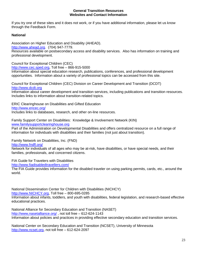#### **General Transition Resources Websites and Contact Information**

If you try one of these sites and it does not work, or if you have additional information, please let us know through the Feedback Form.

## **National**

Association on Higher Education and Disability (AHEAD).

[http://www.ahead.org.](http://www.ahead.org/) (704) 947-7779.

Resources available on postsecondary access and disability services. Also has information on training and professional development.

Council for Exceptional Children (CEC)

[http://www.cec.sped.org,](http://www.cec.sped.org/) Toll free – 866-915-5000

Information about special education research, publications, conferences, and professional development opportunities. Information about a variety of professional topics can be accessed from this site.

Council for Exceptional Children (CEC) Division on Career Development and Transition (DCDT) [http://www.dcdt.org](http://www.dcdt.org/)

Information about career development and transition services, including publications and transition resources. Includes links to information about transition-related topics.

ERIC Clearinghouse on Disabilities and Gifted Education <http://www.ericec.org/> Includes links to databases, research, and other on-line resources.

Family Support Center on Disabilities: Knowledge & Involvement Network (KIN) [www.familysupportclearinghouse.org](http://www.familysupportclearinghouse.org/) 

Part of the Administration on Developmental Disabilities and offers centralized resource on a full range of information for individuals with disabilities and their families (not just about transition).

Family Network on Disabilities, Inc. (FND)

<http://www.fndfl.org/>

Network for individuals of all ages who may be at-risk, have disabilities, or have special needs, and their families, professionals, and concerned citizens.

FIA Guide for Travelers with Disabilities

<http://www.fiadisabledtravellers.com/>

The FIA Guide provides information for the disabled traveler on using parking permits, cards, etc., around the world.

National Dissemination Center for Children with Disabilities (NICHCY) [http://www.NICHCY.org,](http://www.nichcy.org/) Toll free – 800-695-0285 Information about infants, toddlers, and youth with disabilities, federal legislation, and research-based effective educational practices.

National Alliance for Secondary Education and Transition (NASET) <http://www,nasetalliance.org/> , not toll free – 612-624-1143 Information about policies and practices in providing effective secondary education and transition services.

National Center on Secondary Education and Transition (NCSET), University of Minnesota [http://www.ncset.org,](http://www.ncset.org/) not toll free – 612-624-2097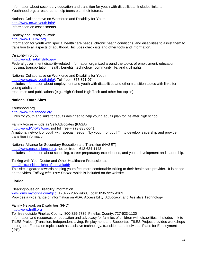Information about secondary education and transition for youth with disabilities. Includes links to Youthhood.org, a resource to help teens plan their futures.

National Collaborative on Workforce and Disability for Youth <http://www.ncwd-youth.info/> Information on assessments.

Healthy and Ready to Work

[http://www.HRTW.org](http://www.hrtw.org/)

Information for youth with special health care needs, chronic health conditions, and disabilities to assist them to transition to all aspects of adulthood. Includes checklists and other tools and information.

#### DisabilityInfo.gov

[http://www.DisabilityInfo.gov](http://www.disabilityinfo.gov/)

Federal government disability-related information organized around the topics of employment, education, housing, transportation, health, benefits, technology, community life, and civil rights.

National Collaborative on Workforce and Disability for Youth [http://www.ncwd-youth.info/,](http://www.ncwd-youth.info/) Toll free – 877-871-0744 Includes information about employment and youth with disabilities and other transition topics with links for young adults to resources and publications (e.g., High School-High Tech and other hot topics).

## **National Youth Sites**

Youthhood.org [http://www.Youthhood.org](http://www.youthhood.org/) Links for youth and links for adults designed to help young adults plan for life after high school.

Family Voices – Kids as Self-Advocates (KASA) [http://www.FVKASA.org,](http://www.fvkasa.org/) not toll free – 773-338-5541 A national network of youth with special needs – "by youth, for youth" – to develop leadership and provide transition information.

National Alliance for Secondary Education and Transition (NASET) [http://www,nasetalliance.org,](http://www,nasetalliance.org/) not toll free – 612-624-1143 Includes information about schooling, career preparatory experiences, and youth development and leadership.

Talking with Your Doctor and Other Healthcare Professionals <http://hctransitions.ichp.ufl.edu/gladd/> This site is geared towards helping youth feel more comfortable talking to their healthcare provider. It is based on the video, *Talking with Your Doctor*, which is included on the website.

#### **Florida**

Clearinghouse on Disability Information [www.dms.myflorida.com/gcd,](http://www.dms.myflorida.com/gcd) 1- 877- 232- 4968, Local: 850- 922- 4103 Provides a wide range of information on ADA, Accessibility, Advocacy, and Assistive Technology

Family Network on Disabilities (FND) [http://www.fndfl.org](http://www.fndfl.org/)

Toll free outside Pinellas County: 800-825-5736; Pinellas County: 727-523-1130

Information and resources on education and advocacy for families of children with disabilities. Includes link to TILES Project (Transition, Independent Living, Employment and Supports). TILES Project provides workshops throughout Florida on topics such as assistive technology, transition, and Individual Plans for Employment (IPE).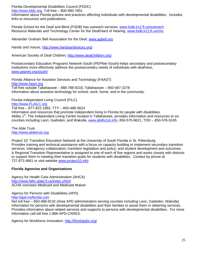Florida Developmental Disabilities Council (FDDC)

[http://www.fddc.org,](http://www.fddc.org/) Toll free – 800-580-7801

Information about Florida policies and practices affecting individuals with developmental disabilities. Includes links to resources and publications.

Florida School for the Deaf and Blind (FSDB) has outreach services, [www.fsdb.k12.fl.us/outreach](http://www.fsdb.k12.fl.us/outreach) Resource Materials and Technology Center for the Deaf/Hard of Hearing, [www.fsdb.k12.fl.us/rmc](http://www.fsdb.k12.fl.us/rmc)

Alexander Graham Bell Association for the Deaf, [www.agbell.org](http://www.agbell.org/)

Hands and Voices,<http://www.handsandvoices.org/>

American Society of Deaf Children,<http://www.deafchildren.org/>

Postsecondary Education Programs Network-South (PEPNet-South)-helps secondary and postsecondary institutions more effectively address the postsecondary needs of individuals with deafness, [www.pepnet.org/south/](http://www.pepnet.org/south/)

Florida Alliance for Assistive Services and Technology (FAAST) [http://www.faast.org](http://www.faast.org/) Toll free outside Tallahassee – 888-788-9216; Tallahassee – 850-487-3278 Information about assistive technology for school, work, home, and in the community.

Florida Independent Living Council (FILC) [http://www.FLAILC.org](http://www.flailc.org/)

Toll free – 877-822-1993, TTY – 850-488-5624

Information and resources that promote independent living in Florida for people with disabilities. Ability 1<sup>st</sup>, The Independent Living Center located in Tallahassee, provides information and resources to six counties including Leon, Gadsden, and Wakulla, [www.ability1st.info,](http://www.ability1st.info/) 850-575-9621, TDD – 850-576-5245

The Able Trust [http://www,abletrust.org](http://www,abletrust.org/)

Project 10: Transition Education Network at the University of South Florida in St. Petersburg Provides training and technical assistance with a focus on capacity building to implement secondary transition services; interagency collaboration; transition legislation and policy; and student development and outcomes. A Regional Transition Representative is assigned to one of each of five regions and works closely with districts to support them in meeting their transition goals for students with disabilities. Contact by phone at 727.873.4661 or visit website [www.project10.info.](http://www.thetransitioncenter.org/)

## **Florida Agencies and Organizations**

Agency for Health Care Administration (AHCA) <http://www,fdhc.state.fl.us/index.shtml> ACHA oversees Medicaid and Medicaid Waiver

Agency for Persons with Disabilities (APD) [http://apd.myflorida.com](http://apd.myflorida.com/)

Not toll free – 850-488-9132 (Area APD administration serving counties including Leon, Gadsden, Wakulla) Information for persons with developmental disabilities and their families to assist them in obtaining services. Provides information about related services and supports to persons with developmental disabilities. For more information call toll free 1-866-APD-CARES.

Agency for Workforce Innovation,<http://floridajobs.org/>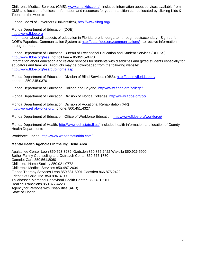Children's Medical Services (CMS), [www.cms-kids.com/](http://www.cms-kids.com/), includes information about services available from CMS and location of offices. Information and resources for youth transition can be located by clicking Kids & Teens on the website

Florida Board of Governors (Universities),<http://www.flbog.org/>

Florida Department of Education (DOE)

[http://www.fldoe.org](http://www.fldoe.org/)

Information about all aspects of education in Florida, pre-kindergarten through postsecondary. Sign up for DOE's Paperless Communication System at<http://data.fldoe.org/communications/>to receive information through e-mail.

Florida Department of Education, Bureau of Exceptional Education and Student Services (BEESS) [http://www.fldoe.org/ese,](http://www.fldoe.org/ese) not toll free – 850/245-0478

Information about education and related services for students with disabilities and gifted students especially for educators and families. Products may be downloaded from the following website: <http://www.fldoe.org/ese/pub-home.asp>

Florida Department of Education, Division of Blind Services (DBS),<http://dbs.myflorida.com/> phone – 850.245.0370

Florida Department of Education, College and Beyond,<http://www.fldoe.org/college/>

Florida Department of Education, Division of Florida Colleges,<http://www.fldoe.org/cc/>

Florida Department of Education, Division of Vocational Rehabilitation (VR) [http://www.rehabworks.org/,](http://www.rehabworks.org/) phone, 800.451.4327

Florida Department of Education, Office of Workforce Education,<http://www.fldoe.org/workforce/>

Florida Department of Health, [http://www.doh.state.fl.us/,](http://www.doh.state.fl.us/) includes health information and location of County Health Departments

Workforce Florida,<http://www.workforceflorida.com/>

## **Mental Health Agencies in the Big Bend Area**

Apalachee Center Leon 850.523.3289 Gadsden 850.875.2422 Wakulla 850.926.5900 Bethel Family Counseling and Outreach Center 850.577.1780 Camelot Care 850.561.8060 Children's Home Society 850.921-0772 Children's Medical Services 850.487-2604 Florida Therapy Services Leon 850.681-6001 Gadsden 866.875.2422 Friends of Child, Inc. 850.894.3700 Tallahassee Memorial Behavioral Health Center 850.431.5100 Healing Transitions 850.877-4228 Agency for Persons with Disabilities (APD) State of Florida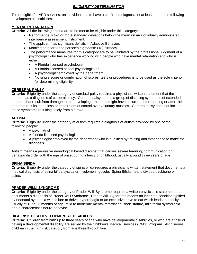## *ELIGIBILITY DETERMINATION*

To be eligible for APD services, an individual has to have a confirmed diagnosis of at least one of the following developmental disabilities:

## **MENTAL RETARDATION**

**Criteria:** All the following criteria are to be met to be eligible under this category:

- Performance is two or more standard deviations below the mean on an individually administered intelligence assessment instrument.
- The applicant has significant deficits in Adaptive Behavior.
- Manifested prior to the person's eighteenth (18) birthday
- The performance measures for this category are to be validated by the professional judgment of a psychologist who has experience working with people who have mental retardation and who is either:
	- A Florida licensed psychologist
	- A Florida licensed school psychologist or
	- A psychologist employed by the department
	- No single score or combination of scores, tests or procedures is to be used as the sole criterion for determining eligibility.

## **CEREBRAL PALSY**

**Criteria:** Eligibility under the category of cerebral palsy requires a physician's written statement that the person has a diagnosis of cerebral palsy. Cerebral palsy means a group of disabling symptoms of extended duration that result from damage to the developing brain, that might have occurred before, during or after birth and, that results in the loss or impairment of control over voluntary muscles. Cerebral palsy does not include those symptoms resulting solely from a stroke.

## **AUTISM**

**Criteria:** Eligibility under the category of autism requires a diagnosis of autism provided by one of the following people:

- A psychiatrist
- A Florida licensed psychologist
- A psychologist employed by the department who is qualified by training and experience to make the diagnosis

Autism means a pervasive neurological based disorder that causes severe learning, communication or behavior disorder with the age of onset during infancy or childhood, usually around three years of age.

## **SPINA BIFIDA**

**Criteria:** Eligibility under the category of spina bifida requires a physician's written statement that documents a medical diagnosis of spina bifida cystica or myelomeningocele. Spina Bifida means divided backbone or spine.

## **PRADER-WILLI SYNDROME**

**Criteria:** Eligibility under the category of Prader-Willi Syndrome requires a written physician's statement that documents a diagnosis of Prader-Willi Syndrome. Prader-Willi Syndrome means an inherited condition typified by neonatal hypotonia with failure to thrive, hyperphagia or an excessive drive to eat which leads to obesity, usually at 18 to 36 months of age, mild to moderate mental retardation, short stature, mild facial dysmorphia and a characteristic neuro-behavior.

## **HIGH RISK OF A DEVELOPMENTAL DISABILITY**

**Criteria:** Children from birth up to three years of age who have developmental disabilities, or who are at risk of having a developmental disability are served by the Children's Medical Services (CMS) Program. APD serves children in the high risk category from age three through five.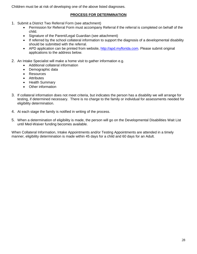Children must be at risk of developing one of the above listed diagnoses.

## **PROCESS FOR DETERMINATION**

- 1. Submit a District Two Referral Form (see attachment)
	- Permission for Referral Form must accompany Referral if the referral is completed on behalf of the child.
	- Signature of the Parent/Legal Guardian (see attachment)
	- If referred by the school collateral information to support the diagnosis of a developmental disability should be submitted with the referral.
	- APD application can be printed from website, [http://apd.myflorida.com.](http://apd.myflorida.com/) Please submit original applications to the address below.
- 2. An Intake Specialist will make a home visit to gather information e.g.
	- Additional collateral information
	- Demographic data
	- Resources
	- Attributes
	- Health Summary
	- Other information
- 3. If collateral information does not meet criteria, but indicates the person has a disability we will arrange for testing, if determined necessary. There is no charge to the family or individual for assessments needed for eligibility determination.
- 4. At each stage the family is notified in writing of the process.
- 5. When a determination of eligibility is made, the person will go on the Developmental Disabilities Wait List until Med-Waiver funding becomes available.

When Collateral Information, Intake Appointments and/or Testing Appointments are attended in a timely manner, eligibility determination is made within 45 days for a child and 60 days for an Adult.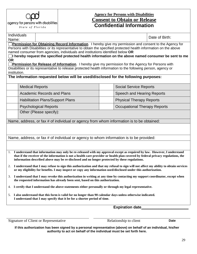

agency for persons with disabilities State of Florida

# **Agency for Persons with Disabilities Consent to Obtain or Release Confidential Information**

Individuals

name: Date of Birth:<br>Name: Date of Birth:

**Permission for Obtaining Record Information**. I hereby give my permission and consent to the Agency for Persons with Disabilities or its representative to obtain the specified protected health information on the above named consumer from agencies, individuals and institutions identified below **OR** 

**I** hereby request the specified protected health information on the above named consumer be sent to me **OR**

**Permission for Release of Information**. I hereby give my permission for the Agency for Persons with Disabilities or its representative to release protected health information to the following person, agency or institution.

**The information requested below will be used/disclosed for the following purposes:**

| <b>Medical Reports</b>                  | <b>Social Service Reports</b>   |
|-----------------------------------------|---------------------------------|
| <b>Academic Records and Plans</b>       | Speech and Hearing Reports      |
| <b>Habilitation Plans/Support Plans</b> | <b>Physical Therapy Reports</b> |
| <b>Psychological Reports</b>            | Occupational Therapy Reports    |
| Other (Please specify):                 |                                 |

Name, address, or fax # of individual or agency from whom information is to be obtained:

Name, address, or fax # of individual or agency to whom information is to be provided:

- 1. **I understand that information may only be re-released with my approval except as required by law. However, I understand that if the receiver of the information is not a health care provider or health plan covered by federal privacy regulations, the information described above may be re-disclosed and no longer protected by these regulations.**
- 2. **I understand that I may refuse to sign this authorization and that my refusal to sign will not affect my ability to obtain services or my eligibility for benefits. I may inspect or copy any information used/disclosed under this authorization.**
- 3. **I understand that I may revoke this authorization in writing at any time by contacting my support coordinator, except when the requested information has already been sent, based on this authorization.**
- 4. **I certify that I understand the above statements either personally or through my legal representative.**
- 5. **I also understand that this form is valid for no longer than 90 calendar days unless otherwise indicated. I understand that I may specify that it be for a shorter period of time.**

**Expiration date\_\_\_\_\_\_\_\_\_\_\_\_\_\_\_\_\_\_\_\_\_\_**

Signature of Client or Representative Relationship to client **Date** 

**If this authorization has been signed by a personal representative (above) on behalf of an individual, his/her authority to act on behalf of the individual must be set forth here.**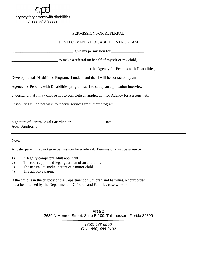#### PERMISSION FOR REFERRAL

## DEVELOPMENTAL DISABILITIES PROGRAM

| $I_{\star}$<br>$\frac{1}{\sqrt{1-\frac{1}{\sqrt{1-\frac{1}{\sqrt{1-\frac{1}{\sqrt{1-\frac{1}{\sqrt{1-\frac{1}{\sqrt{1-\frac{1}{\sqrt{1-\frac{1}{\sqrt{1-\frac{1}{\sqrt{1-\frac{1}{\sqrt{1-\frac{1}{\sqrt{1-\frac{1}{\sqrt{1-\frac{1}{\sqrt{1-\frac{1}{\sqrt{1-\frac{1}{\sqrt{1-\frac{1}{\sqrt{1-\frac{1}{\sqrt{1-\frac{1}{\sqrt{1-\frac{1}{\sqrt{1-\frac{1}{\sqrt{1-\frac{1}{\sqrt{1-\frac{1}{\sqrt{1-\frac{1}{\sqrt{1-\frac{1}{\sqrt{1-\frac{1$ |                                              |  |
|--------------------------------------------------------------------------------------------------------------------------------------------------------------------------------------------------------------------------------------------------------------------------------------------------------------------------------------------------------------------------------------------------------------------------------------------------|----------------------------------------------|--|
| to make a referral on behalf of myself or my child,                                                                                                                                                                                                                                                                                                                                                                                              |                                              |  |
|                                                                                                                                                                                                                                                                                                                                                                                                                                                  | to the Agency for Persons with Disabilities, |  |
| Developmental Disabilities Program. I understand that I will be contacted by an                                                                                                                                                                                                                                                                                                                                                                  |                                              |  |
| Agency for Persons with Disabilities program staff to set up an application interview. I                                                                                                                                                                                                                                                                                                                                                         |                                              |  |
| understand that I may choose not to complete an application for Agency for Persons with                                                                                                                                                                                                                                                                                                                                                          |                                              |  |
| Disabilities if I do not wish to receive services from their program.                                                                                                                                                                                                                                                                                                                                                                            |                                              |  |
|                                                                                                                                                                                                                                                                                                                                                                                                                                                  |                                              |  |
| Signature of Parent/Legal Guardian or<br><b>Adult Applicant</b>                                                                                                                                                                                                                                                                                                                                                                                  | Date                                         |  |

Note:

A foster parent may not give permission for a referral. Permission must be given by:

- 1) A legally competent adult applicant
- 2) The court appointed legal guardian of an adult or child
- 3) The natural, custodial parent of a minor child
- 4) The adoptive parent

If the child is in the custody of the Department of Children and Families, a court order must be obtained by the Department of Children and Families case worker.

> Area 2 2639 N Monroe Street, Suite B-100, Tallahassee, Florida 32399

> > *(850) 488-6500 Fax: (850) 488-9132*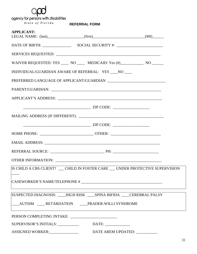

agency for persons with disabilities

 $\begin{array}{cccc} \textit{State} & \textit{of} & \textit{Florid}\,a \end{array}$ 

**REFERRAL FORM**

| <b>APPLICANT:</b>                                                                |                      |  |
|----------------------------------------------------------------------------------|----------------------|--|
|                                                                                  |                      |  |
|                                                                                  |                      |  |
| WAIVER REQUESTED: YES ____ NO ____ MEDICAID: Yes (#)___________ NO ______        |                      |  |
| INDIVIDUAL/GUARDIAN AWARE OF REFERRAL: YES ____NO ____                           |                      |  |
|                                                                                  |                      |  |
|                                                                                  |                      |  |
|                                                                                  |                      |  |
|                                                                                  |                      |  |
|                                                                                  |                      |  |
|                                                                                  | $ZIP \text{ CODE: }$ |  |
|                                                                                  |                      |  |
|                                                                                  |                      |  |
|                                                                                  |                      |  |
|                                                                                  |                      |  |
| IS CHILD A CBS CLIENT? ___ CHILD IN FOSTER CARE ___ UNDER PROTECTIVE SUPERVISION |                      |  |
|                                                                                  |                      |  |
| SUSPECTED DIAGNOSIS: ___HIGH RISK ____ SPINA BIFIDA ____ CEREBRAL PALSY          |                      |  |
| ___AUTISM ____ RETARDATION ____PRADER-WILLI SYNDROME                             |                      |  |
|                                                                                  |                      |  |
| SUPERVISOR'S INITIALS: _____________________________DATE: ______________________ |                      |  |
|                                                                                  |                      |  |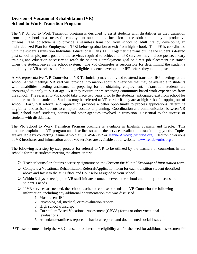# **Division of Vocational Rehabilitation (VR) School to Work Transition Program**

The VR School to Work Transition program is designed to assist students with disabilities as they transition from high school to a successful employment outcome and inclusion in the adult community as productive citizens. The objective is to provide a seamless transition from school to adult life by developing an Individualized Plan for Employment (IPE) before graduation or exit from high school. The IPE is coordinated with the student's transition Individual Educational Plan (IEP). Together the plans outline the student's desired post school employment goal and the services required to achieve it. IPE services may include postsecondary training and education necessary to reach the student's employment goal or direct job placement assistance when the student leaves the school system. The VR Counselor is responsible for determining the student's eligibility for VR services and for helping eligible students develop their IPE before they exit high school.

A VR representative (VR Counselor or VR Technician) may be invited to attend transition IEP meetings at the school. At the meetings VR staff will provide information about VR services that may be available to students with disabilities needing assistance in preparing for or obtaining employment. Transition students are encouraged to apply to VR at age 16 if they require or are receiving community based work experiences from the school. The referral to VR should take place two years prior to the students' anticipated exit from school for all other transition students. Students may be referred to VR earlier if they are at high risk of dropping out of school. Early VR referral and application provides a better opportunity to process applications, determine eligibility, and assist students to complete vocational planning. Coordination and communication between VR staff, school staff, students, parents and other agencies involved in transition is essential to the success of students with disabilities.

The VR School to Work Transition Program brochure is available in English, Spanish, and Creole. This brochure explains the VR program and describes some of the services available to transitioning youth. Copies are available by contacting Jeanne Arnold at 850.494-7152 or [Jeanne.Arnold@vr.fldoe.org.](mailto:Jeanne.Arnold@vr.fldoe.org) Electronic versions of VR brochures and information about VR services are available at our website, [www.rehabworks.org](http://www.rehabworks.org/) .

The following is a step by step process for referral to VR to be utilized by the teachers or counselors in the schools for those students meeting the above criteria.

- o Teacher/counselor obtains necessary signature on the *Consent for Mutual Exchange of Information* form
- o Complete a Vocational Rehabilitation Referral/Application form for each transition student described above and fax it to the VR Office and Counselor assigned to your school
- o Within 3 days of receipt, the VR staff initiates contact between the school and family to discuss the student's needs
- o If VR services are needed, the school teacher or counselor sends the VR Counselor the following information, including any additional documentation that was discussed.
	- 1. Most recent IEP
	- 2. Psychological, medical, or re-evaluation reports
	- 3. High school transcript
	- 4. Curriculum Based Vocational Assessment (CBVA) forms or other vocational evaluations
	- 5. Attendance/tardiness reports, behavioral reports, and documented social issues

\*\*These documents help the VR Counselor to determine eligibility and/or the need for additional assessment\*\*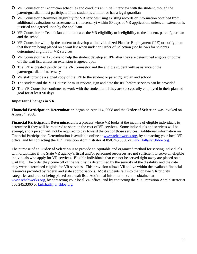- o VR Counselor or Technician schedules and conducts an initial interview with the student, though the parent/guardian must participate if the student is a minor or has a legal guardian
- o VR Counselor determines eligibility for VR services using existing records or information obtained from additional evaluations or assessments (if necessary) within 60 days of VR application, unless an extension is justified and agreed upon by the applicant
- o VR Counselor or Technician communicates the VR eligibility or ineligibility to the student, parent/guardian and the school
- o VR Counselor will help the student to develop an individualized Plan for Employment (IPE) or notify them that they are being placed on a wait list when under an Order of Selection (see below) for students determined eligible for VR services
- o VR Counselor has 120 days to help the student develop an IPE after they are determined eligible or come off the wait list, unless an extension is agreed upon
- o The IPE is created jointly by the VR Counselor and the eligible student with assistance of the parent/guardian if necessary
- o VR staff provide a signed copy of the IPE to the student or parent/guardian and school
- o The student and the VR Counselor must review, sign and date the IPE before services can be provided
- o The VR Counselor continues to work with the student until they are successfully employed in their planned goal for at least 90 days

## **Important Changes in VR**:

**Financial Participation Determination** began on April 14, 2008 and the **Order of Selection** was invoked on August 4, 2008.

**Financial Participation Determination** is a process where VR looks at the income of eligible individuals to determine if they will be required to share in the cost of VR services. Some individuals and services will be exempt, and a person will not be required to pay toward the cost of those services. Additional information on Financial Participation Determination is available online at [www.rehabworks.org,](http://www.rehabworks.org/) by contacting your local VR office, and by contacting the VR Transition Administrator at 850.245.3360 or [Kirk.Hall@vr.fldoe.org.](mailto:Kirk.Hall@vr.fldoe.org)

The purpose of an **Order of Selection** is to provide an equitable and organized method for serving individuals with disabilities if the State VR agency's fiscal and/or personnel resources are not sufficient to serve all eligible individuals who apply for VR services. Eligible individuals that can not be served right away are placed on a wait list. The order they come off of the wait list is determined by the severity of the disability and the date they were determined eligible for VR services. This provision allows VR to live within the available financial resources provided by federal and state appropriations. Most students fall into the top two VR priority categories and are not being placed on a wait list. Additional information can be obtained at [www.rehabworks.org,](http://www.rehabworks.org/) by contacting your local VR office, and by contacting the VR Transition Administrator at 850.245.3360 or [kirk.hall@vr.fldoe.org.](mailto:kirk.hall@vr.fldoe.org)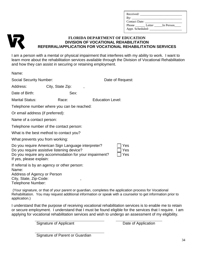| Received: ______ |                        |
|------------------|------------------------|
|                  |                        |
| Contact Date:    |                        |
|                  | Phone Letter In Person |
|                  |                        |



## **FLORIDA DEPARTMENT OF EDUCATION DIVISION OF VOCATIONAL REHABILITATION REFERRAL/APPLICATION FOR VOCATIONAL REHABILITATION SERVICES**

I am a person with a mental or physical impairment that interferes with my ability to work. I want to learn more about the rehabilitation services available through the Division of Vocational Rehabilitation and how they can assist in securing or retaining employment.

| Name:                                                                                                                                                                                                     |                                                   |                         |  |  |  |
|-----------------------------------------------------------------------------------------------------------------------------------------------------------------------------------------------------------|---------------------------------------------------|-------------------------|--|--|--|
| <b>Social Security Number:</b>                                                                                                                                                                            |                                                   | Date of Request:        |  |  |  |
| Address:                                                                                                                                                                                                  | City, State Zip:<br>$\overline{\phantom{a}}$      |                         |  |  |  |
| Date of Birth:                                                                                                                                                                                            | Sex:                                              |                         |  |  |  |
| <b>Marital Status:</b>                                                                                                                                                                                    | Race:                                             | <b>Education Level:</b> |  |  |  |
| Telephone number where you can be reached:                                                                                                                                                                |                                                   |                         |  |  |  |
| Or email address (if preferred):                                                                                                                                                                          |                                                   |                         |  |  |  |
| Name of a contact person:                                                                                                                                                                                 |                                                   |                         |  |  |  |
| Telephone number of the contact person:                                                                                                                                                                   |                                                   |                         |  |  |  |
| What is the best method to contact you?                                                                                                                                                                   |                                                   |                         |  |  |  |
| What prevents you from working:                                                                                                                                                                           |                                                   |                         |  |  |  |
| Do you require American Sign Language interpreter?<br>Yes<br>Do you require assistive listening device?<br>Yes<br>Do you require any accommodation for your impairment?<br>Yes<br>If yes, please explain: |                                                   |                         |  |  |  |
| Name:<br>Address of Agency or Person<br>City, State, Zip-Code:<br>Telephone Number:                                                                                                                       | If referral is by an agency or other person:<br>, |                         |  |  |  |

(Your signature, or that of your parent or guardian, completes the application process for Vocational Rehabilitation. You may request additional information or speak with a counselor to get information prior to application.)

I understand that the purpose of receiving vocational rehabilitation services is to enable me to retain or secure employment. I understand that I must be found eligible for the services that I require. I am applying for vocational rehabilitation services and wish to undergo an assessment of my eligibility.

Signature of Applicant Date of Application

Signature of Parent or Guardian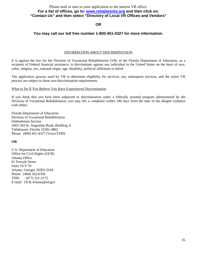#### Please mail or turn in your application to the nearest VR office. **For a list of offices, go to: [www.rehabworks.org](http://www.rehabworks.org/) and then click on: "Contact Us" and then select "Directory of Local VR Offices and Vendors"**

#### **OR**

## **You may call our toll free number 1-800-451-4327 for more information.**

#### INFORMATION ABOUT DISCRIMINATION

It is against the law for the Division of Vocational Rehabilitation (VR) of the Florida Department of Education, as a recipient of Federal financial assistance, to discriminate against any individual in the United States on the basis of race, color, religion, sex, national origin, age, disability, political affiliation or belief.

The application process used by VR to determine eligibility for services, any subsequent services, and the entire VR process are subject to these non-discrimination requirements.

#### What to Do If You Believe You Have Experienced Discrimination

If you think that you have been subjected to discrimination under a federally assisted program administered by the Division of Vocational Rehabilitation, you may file a complaint within 180 days from the date of the alleged violation with either:

Florida Department of Education Division of Vocational Rehabilitation Ombudsman Section 2002 Old St. Augustine Road, Building A Tallahassee, Florida 32301-4862 Phone: (800) 451-4327 (Voice/TDD)

#### **OR**

U.S. Department of Education Office for Civil Rights (OCR) Atlanta Office 61 Forsyth Street Suite 19-T-70 Atlanta, Georgia 30303-3104 Phone: (404) 562-6350 TDD: (877) 521-2172 E-mail: OCR.Atlanta@ed.gov